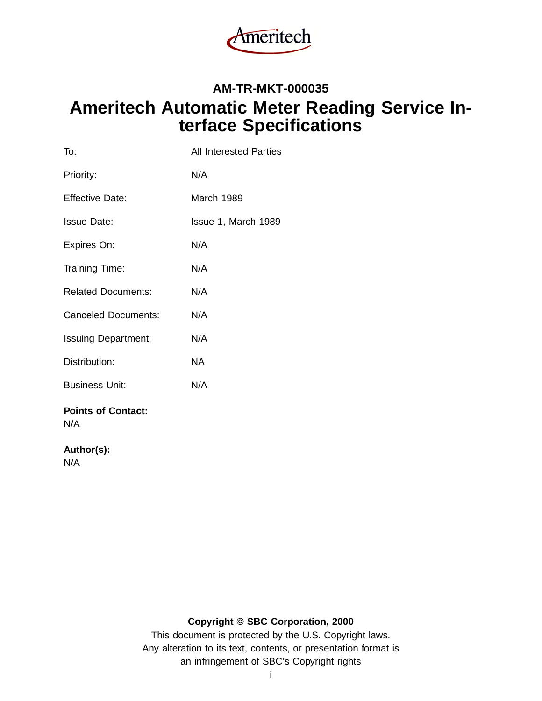

# **AM-TR-MKT-000035 Ameritech Automatic Meter Reading Service Interface Specifications**

| To:                              | <b>All Interested Parties</b> |
|----------------------------------|-------------------------------|
| Priority:                        | N/A                           |
| <b>Effective Date:</b>           | March 1989                    |
| <b>Issue Date:</b>               | Issue 1, March 1989           |
| Expires On:                      | N/A                           |
| Training Time:                   | N/A                           |
| <b>Related Documents:</b>        | N/A                           |
| <b>Canceled Documents:</b>       | N/A                           |
| <b>Issuing Department:</b>       | N/A                           |
| Distribution:                    | NA                            |
| <b>Business Unit:</b>            | N/A                           |
| <b>Points of Contact:</b><br>N/A |                               |
|                                  |                               |

## **Author(s):**

N/A

## **Copyright © SBC Corporation, 2000**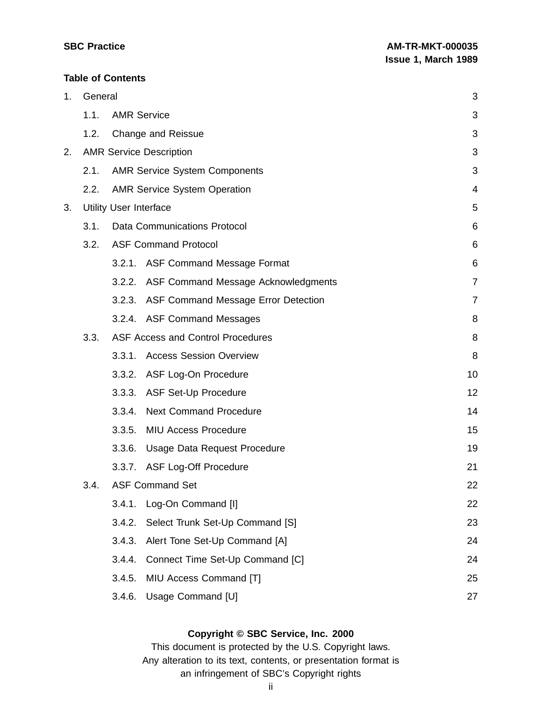## **Table of Contents**

| 1. | General |                                               | 3              |
|----|---------|-----------------------------------------------|----------------|
|    | 1.1.    | <b>AMR Service</b>                            | 3              |
|    | 1.2.    | <b>Change and Reissue</b>                     | 3              |
| 2. |         | <b>AMR Service Description</b>                | 3              |
|    | 2.1.    | <b>AMR Service System Components</b>          | 3              |
|    | 2.2.    | <b>AMR Service System Operation</b>           | 4              |
| 3. |         | <b>Utility User Interface</b>                 | 5              |
|    | 3.1.    | <b>Data Communications Protocol</b>           | 6              |
|    | 3.2.    | <b>ASF Command Protocol</b>                   | 6              |
|    |         | ASF Command Message Format<br>3.2.1.          | 6              |
|    |         | 3.2.2.<br>ASF Command Message Acknowledgments | $\overline{7}$ |
|    |         | 3.2.3.<br>ASF Command Message Error Detection | $\overline{7}$ |
|    |         | 3.2.4. ASF Command Messages                   | 8              |
|    | 3.3.    | ASF Access and Control Procedures             | 8              |
|    |         | <b>Access Session Overview</b><br>3.3.1.      | 8              |
|    |         | 3.3.2. ASF Log-On Procedure                   | 10             |
|    |         | 3.3.3.<br><b>ASF Set-Up Procedure</b>         | 12             |
|    |         | 3.3.4.<br><b>Next Command Procedure</b>       | 14             |
|    |         | 3.3.5.<br><b>MIU Access Procedure</b>         | 15             |
|    |         | 3.3.6.<br>Usage Data Request Procedure        | 19             |
|    |         | 3.3.7. ASF Log-Off Procedure                  | 21             |
|    | 3.4.    | <b>ASF Command Set</b>                        | 22             |
|    |         | Log-On Command [I]<br>3.4.1.                  | 22             |
|    |         | Select Trunk Set-Up Command [S]<br>3.4.2.     | 23             |
|    |         | 3.4.3.<br>Alert Tone Set-Up Command [A]       | 24             |
|    |         | Connect Time Set-Up Command [C]<br>3.4.4.     | 24             |
|    |         | 3.4.5.<br>MIU Access Command [T]              | 25             |
|    |         | 3.4.6.<br>Usage Command [U]                   | 27             |

## **Copyright © SBC Service, Inc. 2000**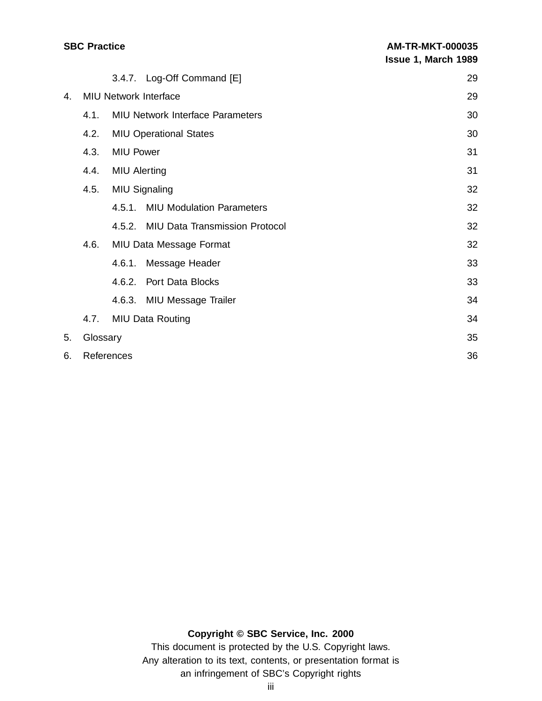|    |          | 3.4.7. Log-Off Command [E]                 | 29 |
|----|----------|--------------------------------------------|----|
| 4. |          | <b>MIU Network Interface</b>               | 29 |
|    | 4.1.     | <b>MIU Network Interface Parameters</b>    | 30 |
|    | 4.2.     | <b>MIU Operational States</b>              | 30 |
|    | 4.3.     | <b>MIU Power</b>                           | 31 |
|    | 4.4.     | <b>MIU Alerting</b>                        | 31 |
|    | 4.5.     | <b>MIU Signaling</b>                       | 32 |
|    |          | <b>MIU Modulation Parameters</b><br>4.5.1. | 32 |
|    |          | 4.5.2. MIU Data Transmission Protocol      | 32 |
|    | 4.6.     | MIU Data Message Format                    | 32 |
|    |          | 4.6.1. Message Header                      | 33 |
|    |          | 4.6.2.<br><b>Port Data Blocks</b>          | 33 |
|    |          | 4.6.3. MIU Message Trailer                 | 34 |
|    | 4.7.     | <b>MIU Data Routing</b>                    | 34 |
| 5. | Glossary |                                            | 35 |
| 6. |          | References                                 | 36 |

## **Copyright © SBC Service, Inc. 2000**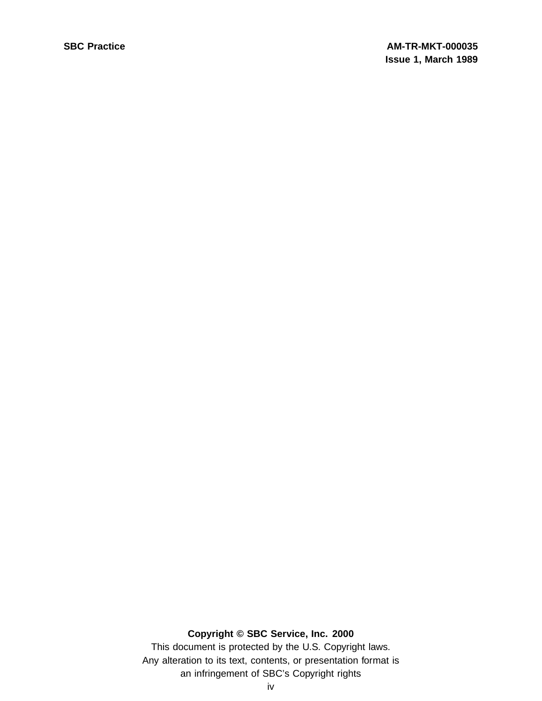## **Copyright © SBC Service, Inc. 2000**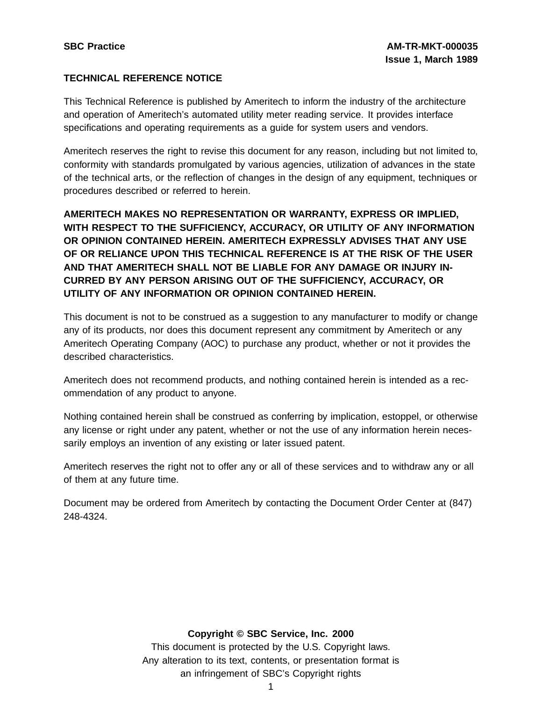## **TECHNICAL REFERENCE NOTICE**

This Technical Reference is published by Ameritech to inform the industry of the architecture and operation of Ameritech's automated utility meter reading service. It provides interface specifications and operating requirements as a guide for system users and vendors.

Ameritech reserves the right to revise this document for any reason, including but not limited to, conformity with standards promulgated by various agencies, utilization of advances in the state of the technical arts, or the reflection of changes in the design of any equipment, techniques or procedures described or referred to herein.

**AMERITECH MAKES NO REPRESENTATION OR WARRANTY, EXPRESS OR IMPLIED, WITH RESPECT TO THE SUFFICIENCY, ACCURACY, OR UTILITY OF ANY INFORMATION OR OPINION CONTAINED HEREIN. AMERITECH EXPRESSLY ADVISES THAT ANY USE OF OR RELIANCE UPON THIS TECHNICAL REFERENCE IS AT THE RISK OF THE USER AND THAT AMERITECH SHALL NOT BE LIABLE FOR ANY DAMAGE OR INJURY IN-CURRED BY ANY PERSON ARISING OUT OF THE SUFFICIENCY, ACCURACY, OR UTILITY OF ANY INFORMATION OR OPINION CONTAINED HEREIN.**

This document is not to be construed as a suggestion to any manufacturer to modify or change any of its products, nor does this document represent any commitment by Ameritech or any Ameritech Operating Company (AOC) to purchase any product, whether or not it provides the described characteristics.

Ameritech does not recommend products, and nothing contained herein is intended as a recommendation of any product to anyone.

Nothing contained herein shall be construed as conferring by implication, estoppel, or otherwise any license or right under any patent, whether or not the use of any information herein necessarily employs an invention of any existing or later issued patent.

Ameritech reserves the right not to offer any or all of these services and to withdraw any or all of them at any future time.

Document may be ordered from Ameritech by contacting the Document Order Center at (847) 248-4324.

#### **Copyright © SBC Service, Inc. 2000**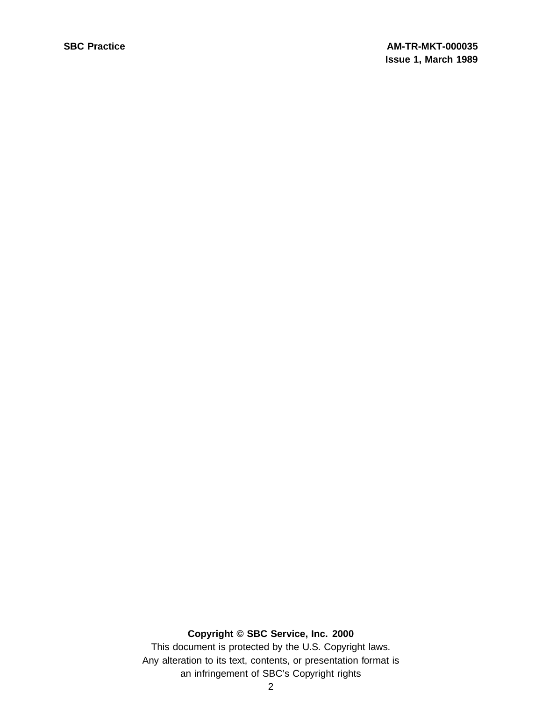## **Copyright © SBC Service, Inc. 2000**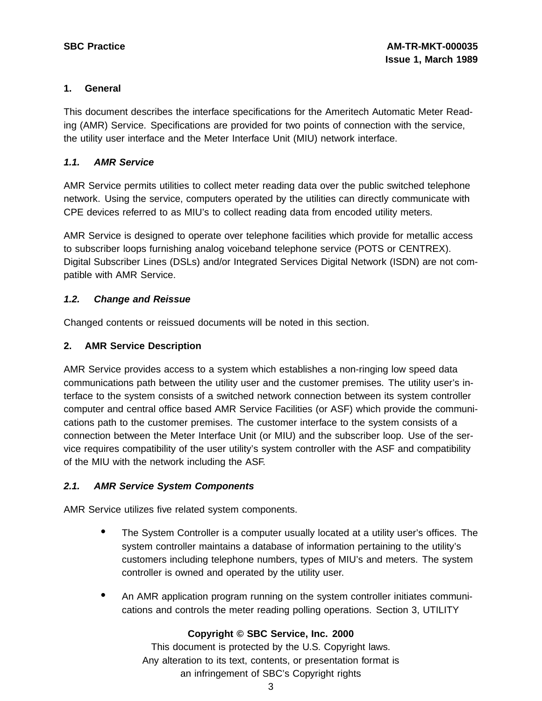## **1. General**

This document describes the interface specifications for the Ameritech Automatic Meter Reading (AMR) Service. Specifications are provided for two points of connection with the service, the utility user interface and the Meter Interface Unit (MIU) network interface.

## **1.1. AMR Service**

AMR Service permits utilities to collect meter reading data over the public switched telephone network. Using the service, computers operated by the utilities can directly communicate with CPE devices referred to as MIU's to collect reading data from encoded utility meters.

AMR Service is designed to operate over telephone facilities which provide for metallic access to subscriber loops furnishing analog voiceband telephone service (POTS or CENTREX). Digital Subscriber Lines (DSLs) and/or Integrated Services Digital Network (ISDN) are not compatible with AMR Service.

## **1.2. Change and Reissue**

Changed contents or reissued documents will be noted in this section.

## **2. AMR Service Description**

AMR Service provides access to a system which establishes a non-ringing low speed data communications path between the utility user and the customer premises. The utility user's interface to the system consists of a switched network connection between its system controller computer and central office based AMR Service Facilities (or ASF) which provide the communications path to the customer premises. The customer interface to the system consists of a connection between the Meter Interface Unit (or MIU) and the subscriber loop. Use of the service requires compatibility of the user utility's system controller with the ASF and compatibility of the MIU with the network including the ASF.

## **2.1. AMR Service System Components**

AMR Service utilizes five related system components.

- The System Controller is a computer usually located at a utility user's offices. The system controller maintains a database of information pertaining to the utility's customers including telephone numbers, types of MIU's and meters. The system controller is owned and operated by the utility user.
- An AMR application program running on the system controller initiates communications and controls the meter reading polling operations. Section 3, UTILITY

## **Copyright © SBC Service, Inc. 2000**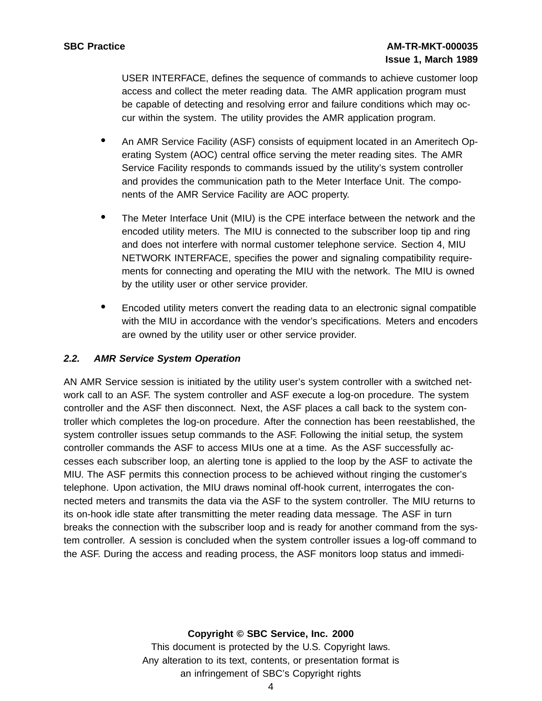USER INTERFACE, defines the sequence of commands to achieve customer loop access and collect the meter reading data. The AMR application program must be capable of detecting and resolving error and failure conditions which may occur within the system. The utility provides the AMR application program.

- An AMR Service Facility (ASF) consists of equipment located in an Ameritech Operating System (AOC) central office serving the meter reading sites. The AMR Service Facility responds to commands issued by the utility's system controller and provides the communication path to the Meter Interface Unit. The components of the AMR Service Facility are AOC property.
- The Meter Interface Unit (MIU) is the CPE interface between the network and the encoded utility meters. The MIU is connected to the subscriber loop tip and ring and does not interfere with normal customer telephone service. Section 4, MIU NETWORK INTERFACE, specifies the power and signaling compatibility requirements for connecting and operating the MIU with the network. The MIU is owned by the utility user or other service provider.
- Encoded utility meters convert the reading data to an electronic signal compatible with the MIU in accordance with the vendor's specifications. Meters and encoders are owned by the utility user or other service provider.

## **2.2. AMR Service System Operation**

AN AMR Service session is initiated by the utility user's system controller with a switched network call to an ASF. The system controller and ASF execute a log-on procedure. The system controller and the ASF then disconnect. Next, the ASF places a call back to the system controller which completes the log-on procedure. After the connection has been reestablished, the system controller issues setup commands to the ASF. Following the initial setup, the system controller commands the ASF to access MIUs one at a time. As the ASF successfully accesses each subscriber loop, an alerting tone is applied to the loop by the ASF to activate the MIU. The ASF permits this connection process to be achieved without ringing the customer's telephone. Upon activation, the MIU draws nominal off-hook current, interrogates the connected meters and transmits the data via the ASF to the system controller. The MIU returns to its on-hook idle state after transmitting the meter reading data message. The ASF in turn breaks the connection with the subscriber loop and is ready for another command from the system controller. A session is concluded when the system controller issues a log-off command to the ASF. During the access and reading process, the ASF monitors loop status and immedi-

# **Copyright © SBC Service, Inc. 2000**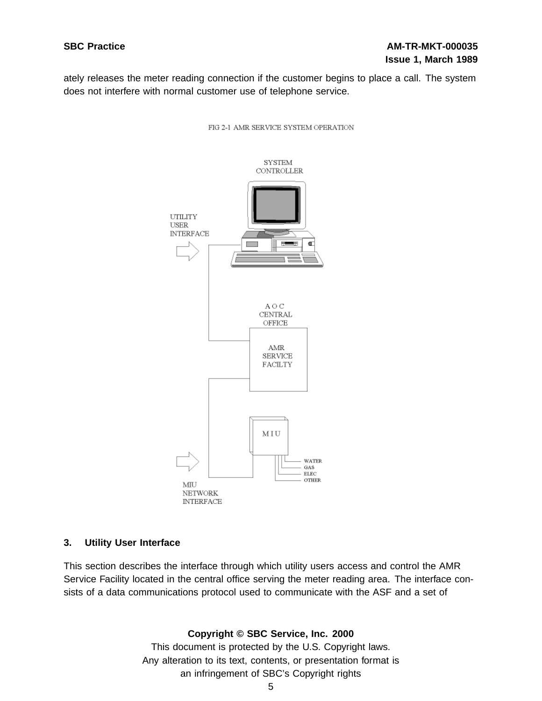ately releases the meter reading connection if the customer begins to place a call. The system does not interfere with normal customer use of telephone service.



FIG 2-1 AMR SERVICE SYSTEM OPERATION

## **3. Utility User Interface**

This section describes the interface through which utility users access and control the AMR Service Facility located in the central office serving the meter reading area. The interface consists of a data communications protocol used to communicate with the ASF and a set of

#### **Copyright © SBC Service, Inc. 2000**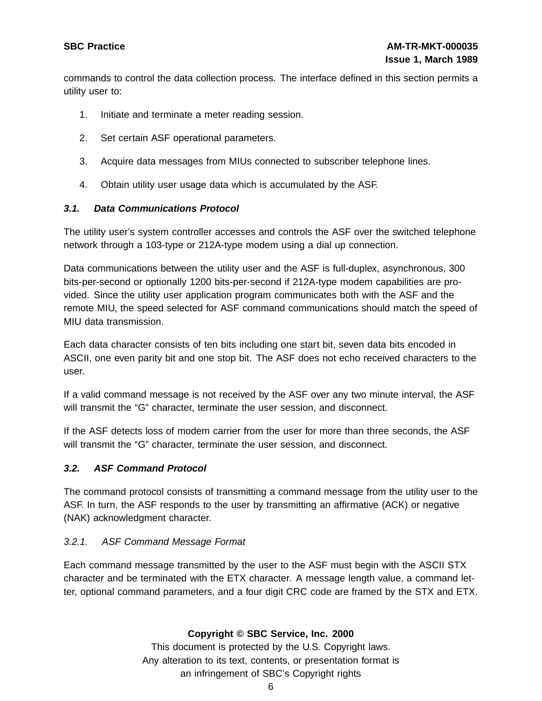commands to control the data collection process. The interface defined in this section permits a utility user to:

- 1. Initiate and terminate a meter reading session.
- 2. Set certain ASF operational parameters.
- 3. Acquire data messages from MIUs connected to subscriber telephone lines.
- 4. Obtain utility user usage data which is accumulated by the ASF.

## **3.1. Data Communications Protocol**

The utility user's system controller accesses and controls the ASF over the switched telephone network through a 103-type or 212A-type modem using a dial up connection.

Data communications between the utility user and the ASF is full-duplex, asynchronous, 300 bits-per-second or optionally 1200 bits-per-second if 212A-type modem capabilities are provided. Since the utility user application program communicates both with the ASF and the remote MIU, the speed selected for ASF command communications should match the speed of MIU data transmission.

Each data character consists of ten bits including one start bit, seven data bits encoded in ASCII, one even parity bit and one stop bit. The ASF does not echo received characters to the user.

If a valid command message is not received by the ASF over any two minute interval, the ASF will transmit the "G" character, terminate the user session, and disconnect.

If the ASF detects loss of modem carrier from the user for more than three seconds, the ASF will transmit the "G" character, terminate the user session, and disconnect.

## **3.2. ASF Command Protocol**

The command protocol consists of transmitting a command message from the utility user to the ASF. In turn, the ASF responds to the user by transmitting an affirmative (ACK) or negative (NAK) acknowledgment character.

## 3.2.1. ASF Command Message Format

Each command message transmitted by the user to the ASF must begin with the ASCII STX character and be terminated with the ETX character. A message length value, a command letter, optional command parameters, and a four digit CRC code are framed by the STX and ETX.

**Copyright © SBC Service, Inc. 2000**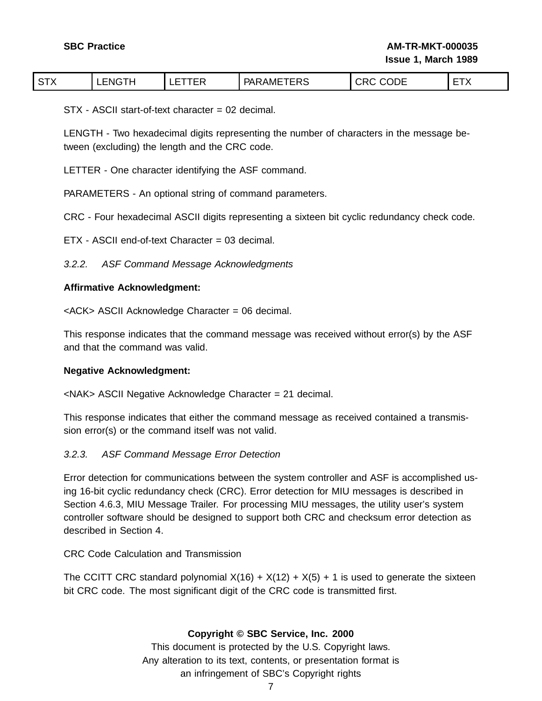|  | $\sim$<br>.<br>. . | Ή<br>FNG<br>. .<br>-- | ---<br>. .<br>-<br>או⊒וי<br>ᅩ | $  \sim$<br>D∆ R<br>`AME .<br>ERS<br>гJ. | $- - -$<br>.RL<br>בע<br> | ---<br>-<br>- 171 |
|--|--------------------|-----------------------|-------------------------------|------------------------------------------|--------------------------|-------------------|
|--|--------------------|-----------------------|-------------------------------|------------------------------------------|--------------------------|-------------------|

STX - ASCII start-of-text character = 02 decimal.

LENGTH - Two hexadecimal digits representing the number of characters in the message between (excluding) the length and the CRC code.

LETTER - One character identifying the ASF command.

PARAMETERS - An optional string of command parameters.

CRC - Four hexadecimal ASCII digits representing a sixteen bit cyclic redundancy check code.

ETX - ASCII end-of-text Character = 03 decimal.

3.2.2. ASF Command Message Acknowledgments

## **Affirmative Acknowledgment:**

<ACK> ASCII Acknowledge Character = 06 decimal.

This response indicates that the command message was received without error(s) by the ASF and that the command was valid.

## **Negative Acknowledgment:**

<NAK> ASCII Negative Acknowledge Character = 21 decimal.

This response indicates that either the command message as received contained a transmission error(s) or the command itself was not valid.

## 3.2.3. ASF Command Message Error Detection

Error detection for communications between the system controller and ASF is accomplished using 16-bit cyclic redundancy check (CRC). Error detection for MIU messages is described in Section 4.6.3, MIU Message Trailer. For processing MIU messages, the utility user's system controller software should be designed to support both CRC and checksum error detection as described in Section 4.

#### CRC Code Calculation and Transmission

The CCITT CRC standard polynomial  $X(16) + X(12) + X(5) + 1$  is used to generate the sixteen bit CRC code. The most significant digit of the CRC code is transmitted first.

## **Copyright © SBC Service, Inc. 2000**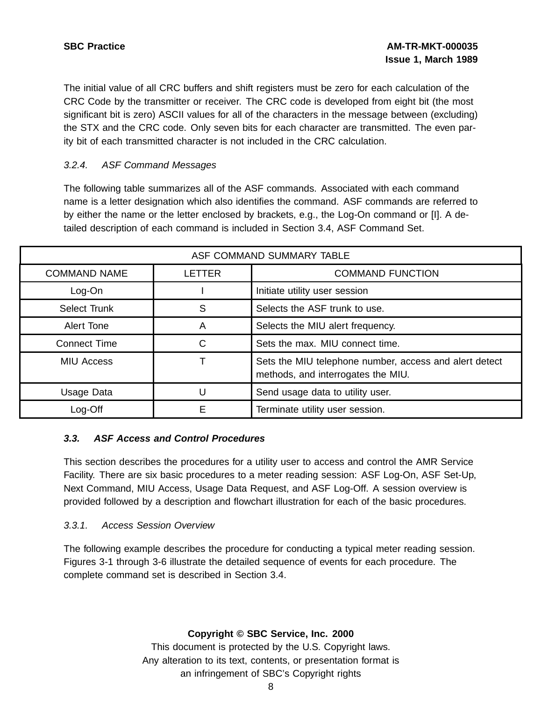The initial value of all CRC buffers and shift registers must be zero for each calculation of the CRC Code by the transmitter or receiver. The CRC code is developed from eight bit (the most significant bit is zero) ASCII values for all of the characters in the message between (excluding) the STX and the CRC code. Only seven bits for each character are transmitted. The even parity bit of each transmitted character is not included in the CRC calculation.

## 3.2.4. ASF Command Messages

The following table summarizes all of the ASF commands. Associated with each command name is a letter designation which also identifies the command. ASF commands are referred to by either the name or the letter enclosed by brackets, e.g., the Log-On command or [I]. A detailed description of each command is included in Section 3.4, ASF Command Set.

| ASF COMMAND SUMMARY TABLE |               |                                                                                              |  |
|---------------------------|---------------|----------------------------------------------------------------------------------------------|--|
| <b>COMMAND NAME</b>       | <b>LETTER</b> | <b>COMMAND FUNCTION</b>                                                                      |  |
| Log-On                    |               | Initiate utility user session                                                                |  |
| <b>Select Trunk</b>       | S             | Selects the ASF trunk to use.                                                                |  |
| Alert Tone                | A             | Selects the MIU alert frequency.                                                             |  |
| <b>Connect Time</b>       |               | Sets the max. MIU connect time.                                                              |  |
| <b>MIU Access</b>         |               | Sets the MIU telephone number, access and alert detect<br>methods, and interrogates the MIU. |  |
| Usage Data                |               | Send usage data to utility user.                                                             |  |
| Log-Off                   |               | Terminate utility user session.                                                              |  |

## **3.3. ASF Access and Control Procedures**

This section describes the procedures for a utility user to access and control the AMR Service Facility. There are six basic procedures to a meter reading session: ASF Log-On, ASF Set-Up, Next Command, MIU Access, Usage Data Request, and ASF Log-Off. A session overview is provided followed by a description and flowchart illustration for each of the basic procedures.

#### 3.3.1. Access Session Overview

The following example describes the procedure for conducting a typical meter reading session. Figures 3-1 through 3-6 illustrate the detailed sequence of events for each procedure. The complete command set is described in Section 3.4.

## **Copyright © SBC Service, Inc. 2000**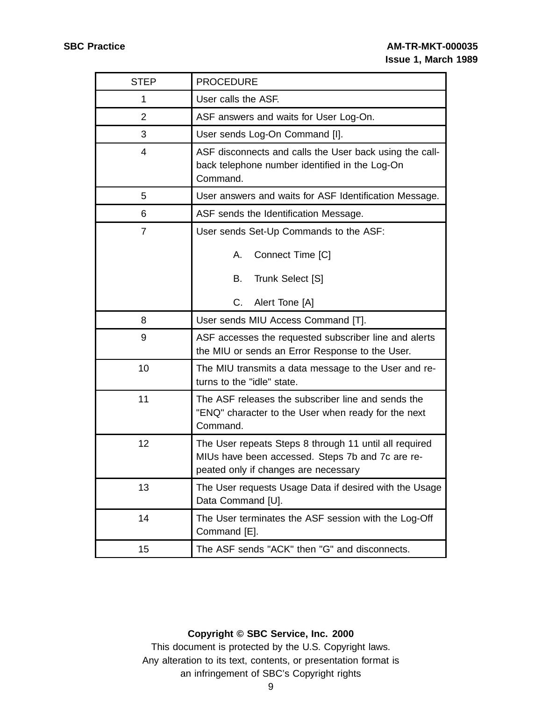| <b>STEP</b>    | <b>PROCEDURE</b>                                                                                                                                   |  |
|----------------|----------------------------------------------------------------------------------------------------------------------------------------------------|--|
| 1              | User calls the ASF.                                                                                                                                |  |
| $\overline{2}$ | ASF answers and waits for User Log-On.                                                                                                             |  |
| 3              | User sends Log-On Command [I].                                                                                                                     |  |
| 4              | ASF disconnects and calls the User back using the call-<br>back telephone number identified in the Log-On<br>Command.                              |  |
| 5              | User answers and waits for ASF Identification Message.                                                                                             |  |
| 6              | ASF sends the Identification Message.                                                                                                              |  |
| $\overline{7}$ | User sends Set-Up Commands to the ASF:                                                                                                             |  |
|                | Connect Time [C]<br>А.<br>Trunk Select [S]<br>В.                                                                                                   |  |
|                | Alert Tone [A]<br>C.                                                                                                                               |  |
| 8              | User sends MIU Access Command [T].                                                                                                                 |  |
| 9              | ASF accesses the requested subscriber line and alerts<br>the MIU or sends an Error Response to the User.                                           |  |
| 10             | The MIU transmits a data message to the User and re-<br>turns to the "idle" state.                                                                 |  |
| 11             | The ASF releases the subscriber line and sends the<br>"ENQ" character to the User when ready for the next<br>Command.                              |  |
| 12             | The User repeats Steps 8 through 11 until all required<br>MIUs have been accessed. Steps 7b and 7c are re-<br>peated only if changes are necessary |  |
| 13             | The User requests Usage Data if desired with the Usage<br>Data Command [U].                                                                        |  |
| 14             | The User terminates the ASF session with the Log-Off<br>Command [E].                                                                               |  |
| 15             | The ASF sends "ACK" then "G" and disconnects.                                                                                                      |  |

## **Copyright © SBC Service, Inc. 2000**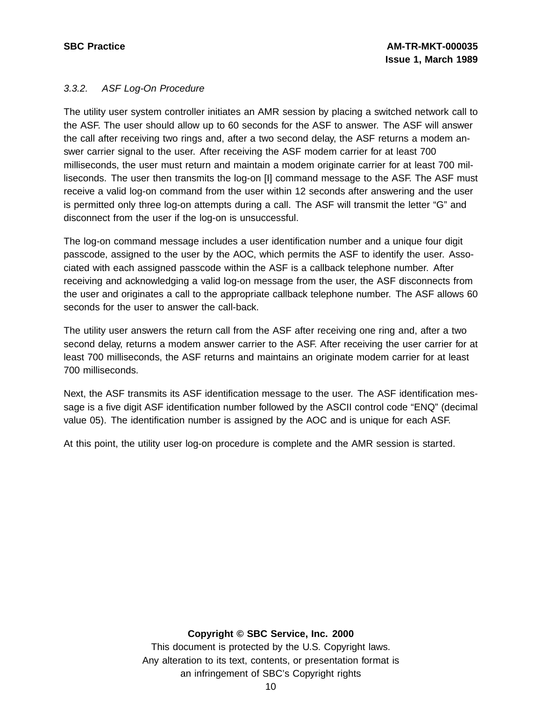## 3.3.2. ASF Log-On Procedure

The utility user system controller initiates an AMR session by placing a switched network call to the ASF. The user should allow up to 60 seconds for the ASF to answer. The ASF will answer the call after receiving two rings and, after a two second delay, the ASF returns a modem answer carrier signal to the user. After receiving the ASF modem carrier for at least 700 milliseconds, the user must return and maintain a modem originate carrier for at least 700 milliseconds. The user then transmits the log-on [I] command message to the ASF. The ASF must receive a valid log-on command from the user within 12 seconds after answering and the user is permitted only three log-on attempts during a call. The ASF will transmit the letter "G" and disconnect from the user if the log-on is unsuccessful.

The log-on command message includes a user identification number and a unique four digit passcode, assigned to the user by the AOC, which permits the ASF to identify the user. Associated with each assigned passcode within the ASF is a callback telephone number. After receiving and acknowledging a valid log-on message from the user, the ASF disconnects from the user and originates a call to the appropriate callback telephone number. The ASF allows 60 seconds for the user to answer the call-back.

The utility user answers the return call from the ASF after receiving one ring and, after a two second delay, returns a modem answer carrier to the ASF. After receiving the user carrier for at least 700 milliseconds, the ASF returns and maintains an originate modem carrier for at least 700 milliseconds.

Next, the ASF transmits its ASF identification message to the user. The ASF identification message is a five digit ASF identification number followed by the ASCII control code "ENQ" (decimal value 05). The identification number is assigned by the AOC and is unique for each ASF.

At this point, the utility user log-on procedure is complete and the AMR session is started.

#### **Copyright © SBC Service, Inc. 2000**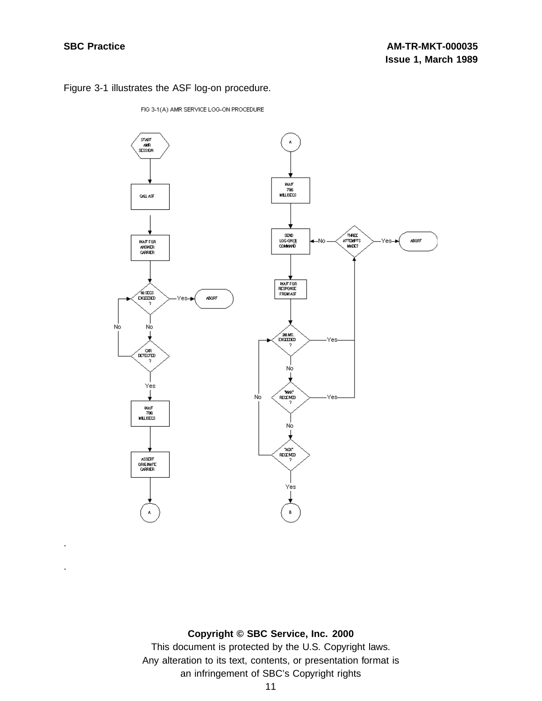.

.

## Figure 3-1 illustrates the ASF log-on procedure.



FIG 3-1(A) AMR SERVICE LOG-ON PROCEDURE

## **Copyright © SBC Service, Inc. 2000** This document is protected by the U.S. Copyright laws. Any alteration to its text, contents, or presentation format is

an infringement of SBC's Copyright rights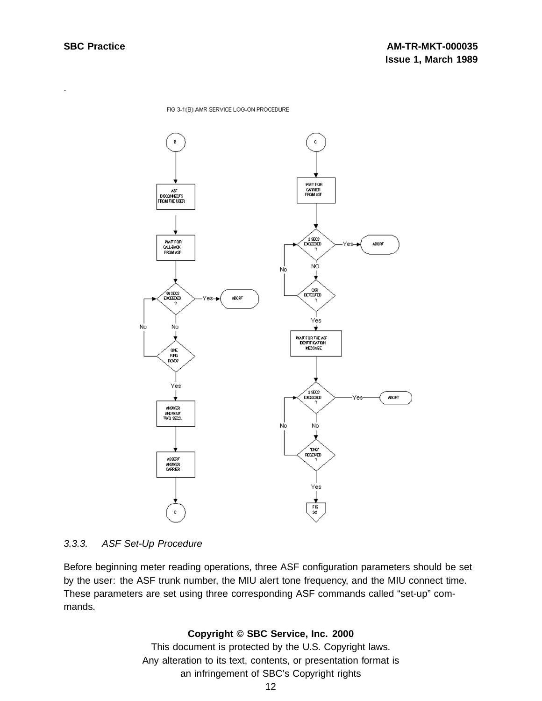.

FIG 3-1(B) AMR SERVICE LOG-ON PROCEDURE



<sup>3.3.3.</sup> ASF Set-Up Procedure

Before beginning meter reading operations, three ASF configuration parameters should be set by the user: the ASF trunk number, the MIU alert tone frequency, and the MIU connect time. These parameters are set using three corresponding ASF commands called "set-up" commands.

#### **Copyright © SBC Service, Inc. 2000**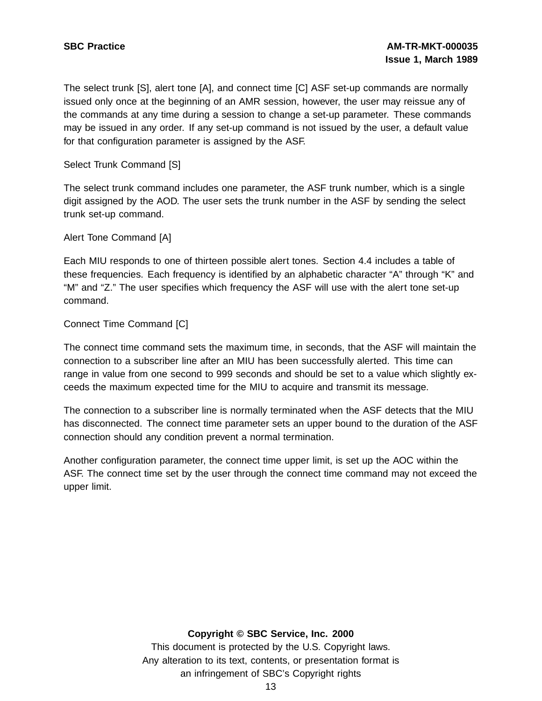The select trunk [S], alert tone [A], and connect time [C] ASF set-up commands are normally issued only once at the beginning of an AMR session, however, the user may reissue any of the commands at any time during a session to change a set-up parameter. These commands may be issued in any order. If any set-up command is not issued by the user, a default value for that configuration parameter is assigned by the ASF.

Select Trunk Command [S]

The select trunk command includes one parameter, the ASF trunk number, which is a single digit assigned by the AOD. The user sets the trunk number in the ASF by sending the select trunk set-up command.

Alert Tone Command [A]

Each MIU responds to one of thirteen possible alert tones. Section 4.4 includes a table of these frequencies. Each frequency is identified by an alphabetic character "A" through "K" and "M" and "Z." The user specifies which frequency the ASF will use with the alert tone set-up command.

Connect Time Command [C]

The connect time command sets the maximum time, in seconds, that the ASF will maintain the connection to a subscriber line after an MIU has been successfully alerted. This time can range in value from one second to 999 seconds and should be set to a value which slightly exceeds the maximum expected time for the MIU to acquire and transmit its message.

The connection to a subscriber line is normally terminated when the ASF detects that the MIU has disconnected. The connect time parameter sets an upper bound to the duration of the ASF connection should any condition prevent a normal termination.

Another configuration parameter, the connect time upper limit, is set up the AOC within the ASF. The connect time set by the user through the connect time command may not exceed the upper limit.

#### **Copyright © SBC Service, Inc. 2000**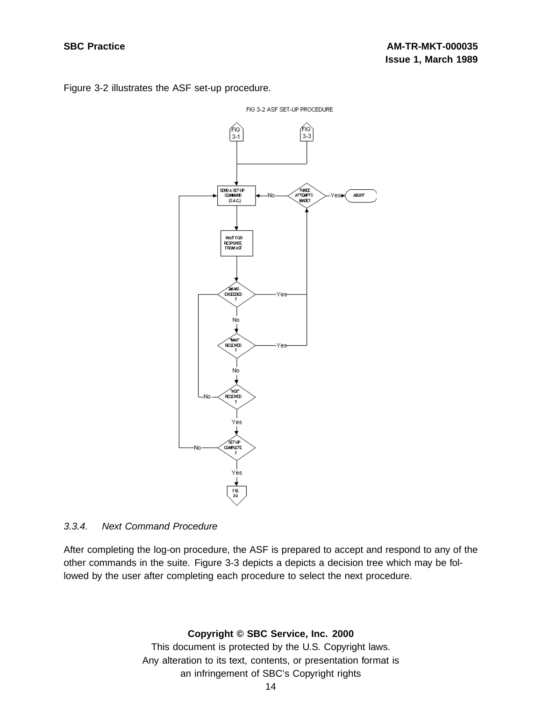Figure 3-2 illustrates the ASF set-up procedure.



3.3.4. Next Command Procedure

After completing the log-on procedure, the ASF is prepared to accept and respond to any of the other commands in the suite. Figure 3-3 depicts a depicts a decision tree which may be followed by the user after completing each procedure to select the next procedure.

## **Copyright © SBC Service, Inc. 2000**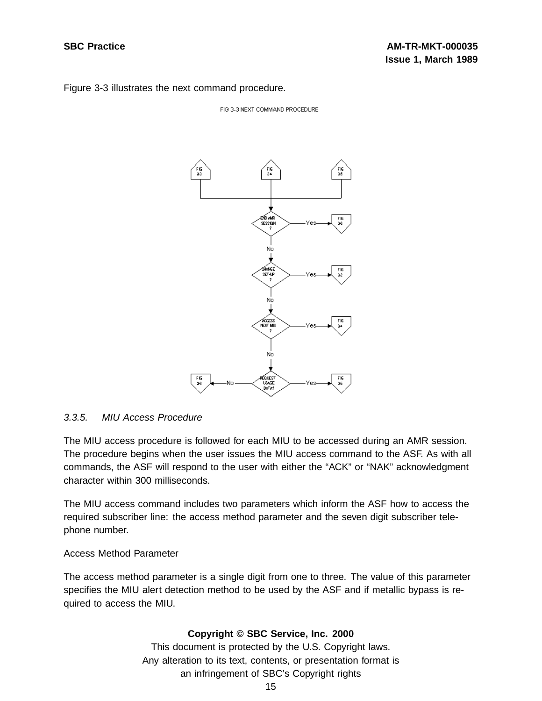Figure 3-3 illustrates the next command procedure.

FIG 3-3 NEXT COMMAND PROCEDURE



## 3.3.5. MIU Access Procedure

The MIU access procedure is followed for each MIU to be accessed during an AMR session. The procedure begins when the user issues the MIU access command to the ASF. As with all commands, the ASF will respond to the user with either the "ACK" or "NAK" acknowledgment character within 300 milliseconds.

The MIU access command includes two parameters which inform the ASF how to access the required subscriber line: the access method parameter and the seven digit subscriber telephone number.

#### Access Method Parameter

The access method parameter is a single digit from one to three. The value of this parameter specifies the MIU alert detection method to be used by the ASF and if metallic bypass is required to access the MIU.

## **Copyright © SBC Service, Inc. 2000**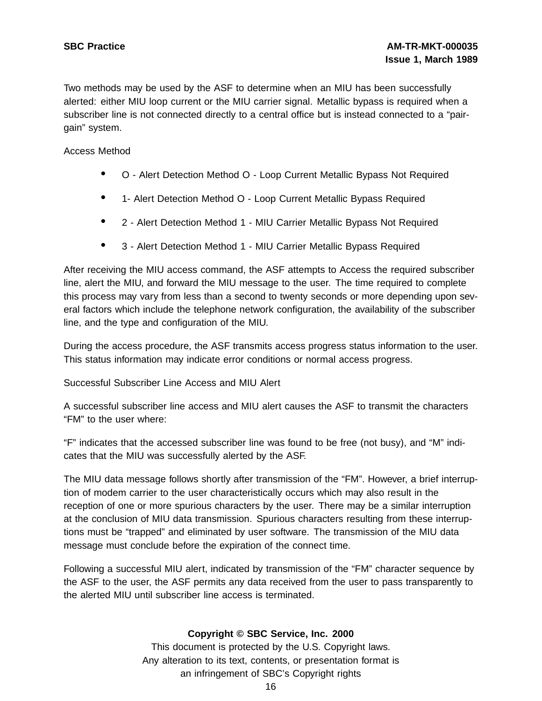Two methods may be used by the ASF to determine when an MIU has been successfully alerted: either MIU loop current or the MIU carrier signal. Metallic bypass is required when a subscriber line is not connected directly to a central office but is instead connected to a "pairgain" system.

Access Method

- <sup>O</sup> Alert Detection Method <sup>O</sup> Loop Current Metallic Bypass Not Required
- 1- Alert Detection Method <sup>O</sup> Loop Current Metallic Bypass Required
- <sup>2</sup> Alert Detection Method <sup>1</sup> MIU Carrier Metallic Bypass Not Required
- <sup>3</sup> Alert Detection Method <sup>1</sup> MIU Carrier Metallic Bypass Required

After receiving the MIU access command, the ASF attempts to Access the required subscriber line, alert the MIU, and forward the MIU message to the user. The time required to complete this process may vary from less than a second to twenty seconds or more depending upon several factors which include the telephone network configuration, the availability of the subscriber line, and the type and configuration of the MIU.

During the access procedure, the ASF transmits access progress status information to the user. This status information may indicate error conditions or normal access progress.

Successful Subscriber Line Access and MIU Alert

A successful subscriber line access and MIU alert causes the ASF to transmit the characters "FM" to the user where:

"F" indicates that the accessed subscriber line was found to be free (not busy), and "M" indicates that the MIU was successfully alerted by the ASF.

The MIU data message follows shortly after transmission of the "FM". However, a brief interruption of modem carrier to the user characteristically occurs which may also result in the reception of one or more spurious characters by the user. There may be a similar interruption at the conclusion of MIU data transmission. Spurious characters resulting from these interruptions must be "trapped" and eliminated by user software. The transmission of the MIU data message must conclude before the expiration of the connect time.

Following a successful MIU alert, indicated by transmission of the "FM" character sequence by the ASF to the user, the ASF permits any data received from the user to pass transparently to the alerted MIU until subscriber line access is terminated.

## **Copyright © SBC Service, Inc. 2000**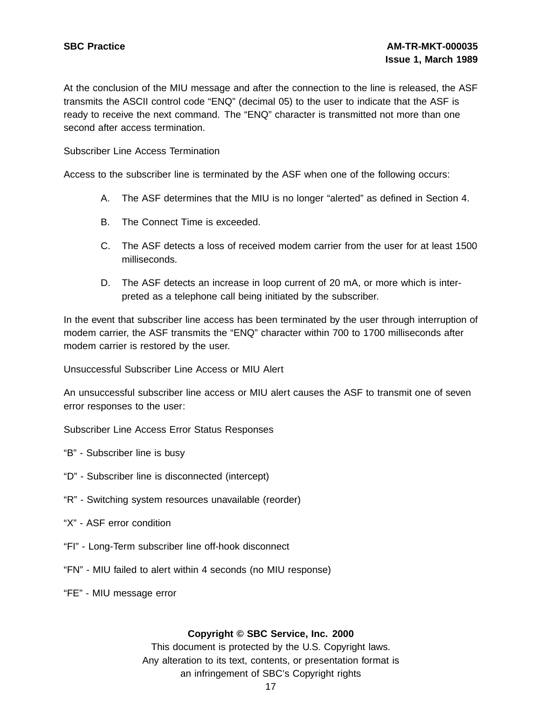At the conclusion of the MIU message and after the connection to the line is released, the ASF transmits the ASCII control code "ENQ" (decimal 05) to the user to indicate that the ASF is ready to receive the next command. The "ENQ" character is transmitted not more than one second after access termination.

Subscriber Line Access Termination

Access to the subscriber line is terminated by the ASF when one of the following occurs:

- A. The ASF determines that the MIU is no longer "alerted" as defined in Section 4.
- B. The Connect Time is exceeded.
- C. The ASF detects a loss of received modem carrier from the user for at least 1500 milliseconds.
- D. The ASF detects an increase in loop current of 20 mA, or more which is interpreted as a telephone call being initiated by the subscriber.

In the event that subscriber line access has been terminated by the user through interruption of modem carrier, the ASF transmits the "ENQ" character within 700 to 1700 milliseconds after modem carrier is restored by the user.

Unsuccessful Subscriber Line Access or MIU Alert

An unsuccessful subscriber line access or MIU alert causes the ASF to transmit one of seven error responses to the user:

Subscriber Line Access Error Status Responses

- "B" Subscriber line is busy
- "D" Subscriber line is disconnected (intercept)
- "R" Switching system resources unavailable (reorder)
- "X" ASF error condition
- "FI" Long-Term subscriber line off-hook disconnect
- "FN" MIU failed to alert within 4 seconds (no MIU response)
- "FE" MIU message error

#### **Copyright © SBC Service, Inc. 2000**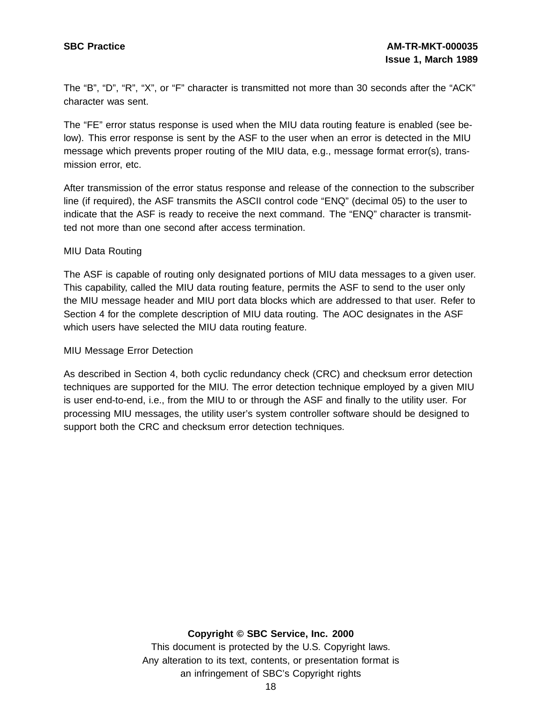The "B", "D", "R", "X", or "F" character is transmitted not more than 30 seconds after the "ACK" character was sent.

The "FE" error status response is used when the MIU data routing feature is enabled (see below). This error response is sent by the ASF to the user when an error is detected in the MIU message which prevents proper routing of the MIU data, e.g., message format error(s), transmission error, etc.

After transmission of the error status response and release of the connection to the subscriber line (if required), the ASF transmits the ASCII control code "ENQ" (decimal 05) to the user to indicate that the ASF is ready to receive the next command. The "ENQ" character is transmitted not more than one second after access termination.

### MIU Data Routing

The ASF is capable of routing only designated portions of MIU data messages to a given user. This capability, called the MIU data routing feature, permits the ASF to send to the user only the MIU message header and MIU port data blocks which are addressed to that user. Refer to Section 4 for the complete description of MIU data routing. The AOC designates in the ASF which users have selected the MIU data routing feature.

### MIU Message Error Detection

As described in Section 4, both cyclic redundancy check (CRC) and checksum error detection techniques are supported for the MIU. The error detection technique employed by a given MIU is user end-to-end, i.e., from the MIU to or through the ASF and finally to the utility user. For processing MIU messages, the utility user's system controller software should be designed to support both the CRC and checksum error detection techniques.

#### **Copyright © SBC Service, Inc. 2000**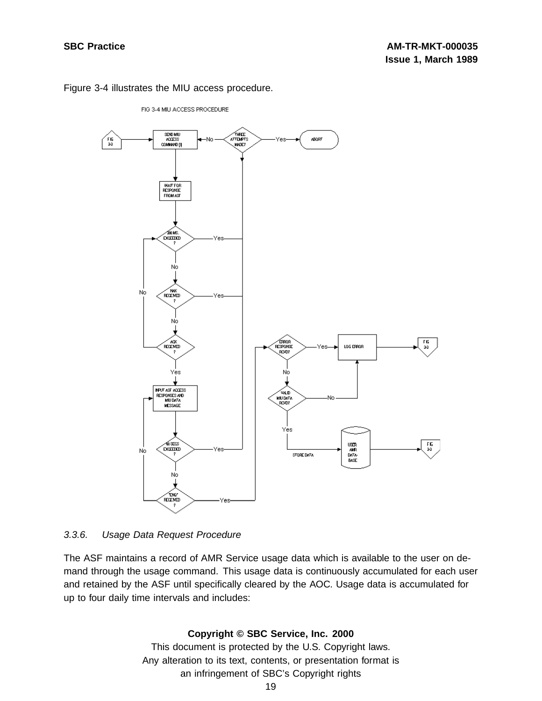Figure 3-4 illustrates the MIU access procedure.



FIG 3-4 MIU ACCESS PROCEDURE

## 3.3.6. Usage Data Request Procedure

The ASF maintains a record of AMR Service usage data which is available to the user on demand through the usage command. This usage data is continuously accumulated for each user and retained by the ASF until specifically cleared by the AOC. Usage data is accumulated for up to four daily time intervals and includes:

## **Copyright © SBC Service, Inc. 2000**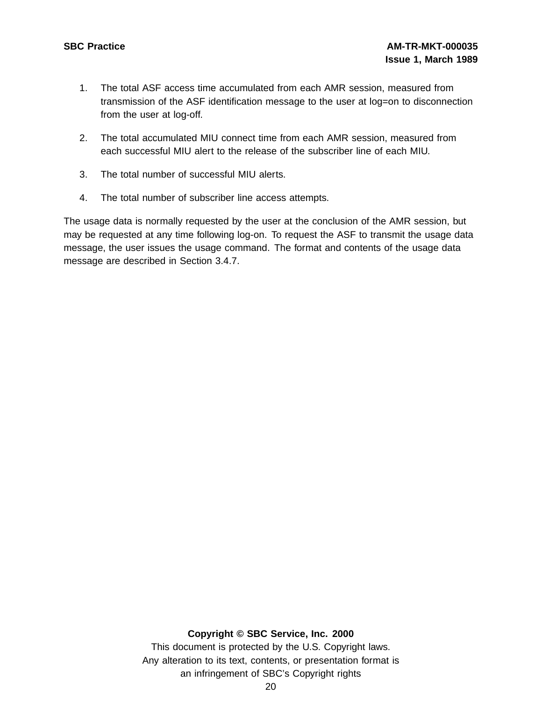- 1. The total ASF access time accumulated from each AMR session, measured from transmission of the ASF identification message to the user at log=on to disconnection from the user at log-off.
- 2. The total accumulated MIU connect time from each AMR session, measured from each successful MIU alert to the release of the subscriber line of each MIU.
- 3. The total number of successful MIU alerts.
- 4. The total number of subscriber line access attempts.

The usage data is normally requested by the user at the conclusion of the AMR session, but may be requested at any time following log-on. To request the ASF to transmit the usage data message, the user issues the usage command. The format and contents of the usage data message are described in Section 3.4.7.

#### **Copyright © SBC Service, Inc. 2000**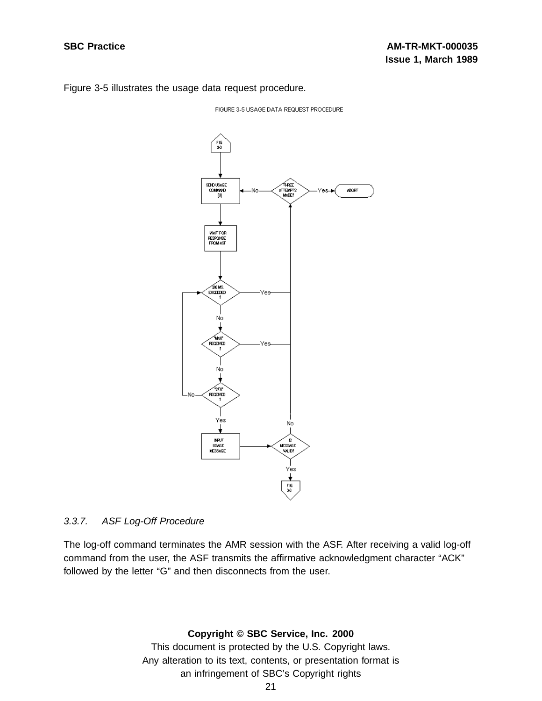Figure 3-5 illustrates the usage data request procedure.

FIGURE 3-5 USAGE DATA REQUEST PROCEDURE



#### 3.3.7. ASF Log-Off Procedure

The log-off command terminates the AMR session with the ASF. After receiving a valid log-off command from the user, the ASF transmits the affirmative acknowledgment character "ACK" followed by the letter "G" and then disconnects from the user.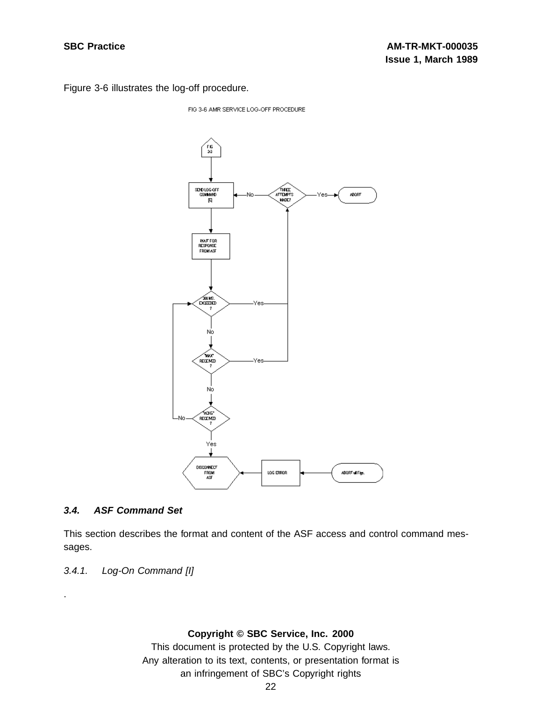Figure 3-6 illustrates the log-off procedure.

#### FIG 3-6 AMR SERVICE LOG-OFF PROCEDURE



#### **3.4. ASF Command Set**

This section describes the format and content of the ASF access and control command messages.

## 3.4.1. Log-On Command [I]

.

#### **Copyright © SBC Service, Inc. 2000**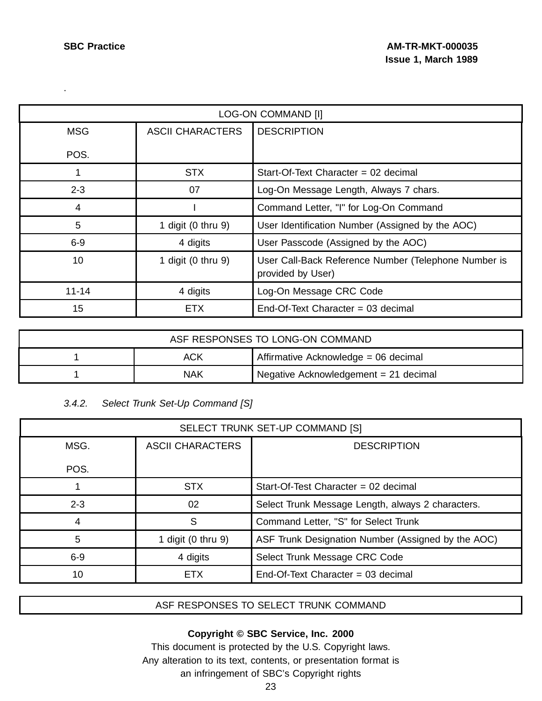.

| <b>LOG-ON COMMAND [I]</b> |                         |                                                                           |
|---------------------------|-------------------------|---------------------------------------------------------------------------|
| <b>MSG</b>                | <b>ASCII CHARACTERS</b> | <b>DESCRIPTION</b>                                                        |
| POS.                      |                         |                                                                           |
|                           | <b>STX</b>              | Start-Of-Text Character = $02$ decimal                                    |
| $2 - 3$                   | 07                      | Log-On Message Length, Always 7 chars.                                    |
| 4                         |                         | Command Letter, "I" for Log-On Command                                    |
| 5                         | 1 digit (0 thru 9)      | User Identification Number (Assigned by the AOC)                          |
| $6-9$                     | 4 digits                | User Passcode (Assigned by the AOC)                                       |
| 10                        | 1 digit $(0$ thru $9)$  | User Call-Back Reference Number (Telephone Number is<br>provided by User) |
| $11 - 14$                 | 4 digits                | Log-On Message CRC Code                                                   |
| 15                        | <b>ETX</b>              | End-Of-Text Character = $03$ decimal                                      |

| ASF RESPONSES TO LONG-ON COMMAND            |     |                                       |
|---------------------------------------------|-----|---------------------------------------|
| Affirmative Acknowledge = 06 decimal<br>ACK |     |                                       |
|                                             | NAK | Negative Acknowledgement = 21 decimal |

## 3.4.2. Select Trunk Set-Up Command [S]

| SELECT TRUNK SET-UP COMMAND [S] |                         |                                                    |
|---------------------------------|-------------------------|----------------------------------------------------|
| MSG.                            | <b>ASCII CHARACTERS</b> | <b>DESCRIPTION</b>                                 |
| POS.                            |                         |                                                    |
|                                 | <b>STX</b>              | Start-Of-Test Character = 02 decimal               |
| $2 - 3$                         | 02                      | Select Trunk Message Length, always 2 characters.  |
| 4                               | S                       | Command Letter, "S" for Select Trunk               |
| 5                               | 1 digit $(0$ thru $9)$  | ASF Trunk Designation Number (Assigned by the AOC) |
| $6 - 9$                         | 4 digits                | Select Trunk Message CRC Code                      |
| 10                              | <b>ETX</b>              | End-Of-Text Character = $03$ decimal               |

## ASF RESPONSES TO SELECT TRUNK COMMAND

## **Copyright © SBC Service, Inc. 2000**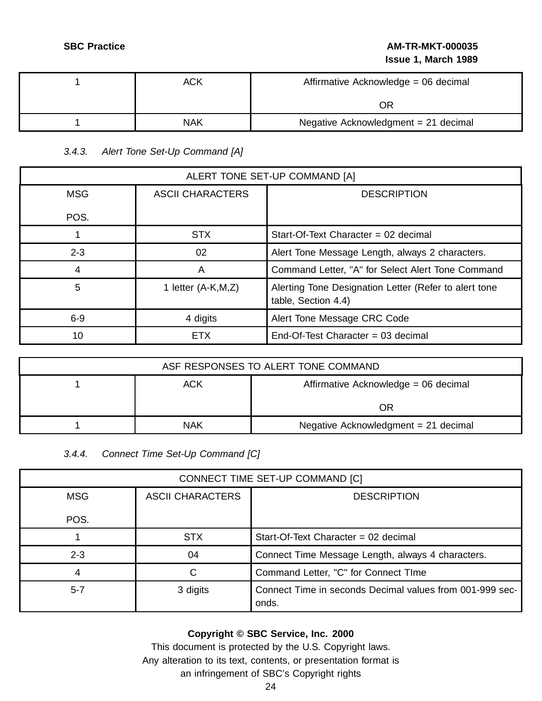## **SBC Practice AM-TR-MKT-000035 Issue 1, March 1989**

| ACK        | Affirmative Acknowledge = $06$ decimal |
|------------|----------------------------------------|
|            | OR                                     |
| <b>NAK</b> | Negative Acknowledgment = 21 decimal   |

## 3.4.3. Alert Tone Set-Up Command [A]

| ALERT TONE SET-UP COMMAND [A] |                         |                                                                              |
|-------------------------------|-------------------------|------------------------------------------------------------------------------|
| <b>MSG</b>                    | <b>ASCII CHARACTERS</b> | <b>DESCRIPTION</b>                                                           |
| POS.                          |                         |                                                                              |
|                               | <b>STX</b>              | Start-Of-Text Character = 02 decimal                                         |
| $2 - 3$                       | 02                      | Alert Tone Message Length, always 2 characters.                              |
| 4                             | A                       | Command Letter, "A" for Select Alert Tone Command                            |
| 5                             | 1 letter (A-K,M,Z)      | Alerting Tone Designation Letter (Refer to alert tone<br>table, Section 4.4) |
| $6 - 9$                       | 4 digits                | Alert Tone Message CRC Code                                                  |
| 10                            | <b>ETX</b>              | End-Of-Test Character = $03$ decimal                                         |

| ASF RESPONSES TO ALERT TONE COMMAND |            |                                        |
|-------------------------------------|------------|----------------------------------------|
|                                     | <b>ACK</b> | Affirmative Acknowledge = 06 decimal   |
|                                     |            | ΟR                                     |
|                                     | <b>NAK</b> | Negative Acknowledgment = $21$ decimal |

## 3.4.4. Connect Time Set-Up Command [C]

| CONNECT TIME SET-UP COMMAND [C] |                         |                                                                   |
|---------------------------------|-------------------------|-------------------------------------------------------------------|
| <b>MSG</b>                      | <b>ASCII CHARACTERS</b> | <b>DESCRIPTION</b>                                                |
| POS.                            |                         |                                                                   |
|                                 | <b>STX</b>              | Start-Of-Text Character = 02 decimal                              |
| $2 - 3$                         | 04                      | Connect Time Message Length, always 4 characters.                 |
| 4                               |                         | Command Letter, "C" for Connect TIme                              |
| $5 - 7$                         | 3 digits                | Connect Time in seconds Decimal values from 001-999 sec-<br>onds. |

## **Copyright © SBC Service, Inc. 2000**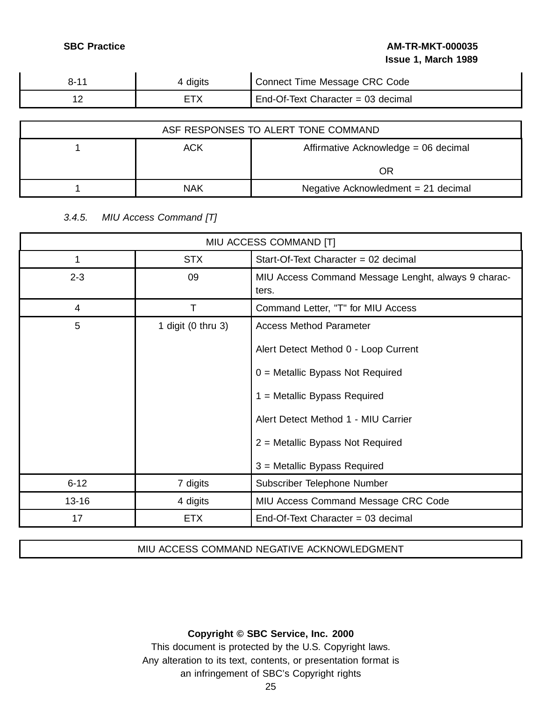## **SBC Practice AM-TR-MKT-000035 Issue 1, March 1989**

| $-8-11$ | 4 digits | Connect Time Message CRC Code      |
|---------|----------|------------------------------------|
|         |          | End-Of-Text Character = 03 decimal |

| ASF RESPONSES TO ALERT TONE COMMAND |     |                                        |
|-------------------------------------|-----|----------------------------------------|
|                                     | ACK | Affirmative Acknowledge = $06$ decimal |
|                                     |     | OR                                     |
|                                     | NAK | Negative Acknowledment = $21$ decimal  |

## 3.4.5. MIU Access Command [T]

| MIU ACCESS COMMAND [T] |                    |                                                              |
|------------------------|--------------------|--------------------------------------------------------------|
| 1                      | <b>STX</b>         | Start-Of-Text Character = 02 decimal                         |
| $2 - 3$                | 09                 | MIU Access Command Message Lenght, always 9 charac-<br>ters. |
| 4                      | T                  | Command Letter, "T" for MIU Access                           |
| 5                      | 1 digit (0 thru 3) | <b>Access Method Parameter</b>                               |
|                        |                    | Alert Detect Method 0 - Loop Current                         |
|                        |                    | $0$ = Metallic Bypass Not Required                           |
|                        |                    | $1$ = Metallic Bypass Required                               |
|                        |                    | Alert Detect Method 1 - MIU Carrier                          |
|                        |                    | 2 = Metallic Bypass Not Required                             |
|                        |                    | $3$ = Metallic Bypass Required                               |
| $6 - 12$               | 7 digits           | Subscriber Telephone Number                                  |
| $13 - 16$              | 4 digits           | MIU Access Command Message CRC Code                          |
| 17                     | <b>ETX</b>         | End-Of-Text Character = $03$ decimal                         |

MIU ACCESS COMMAND NEGATIVE ACKNOWLEDGMENT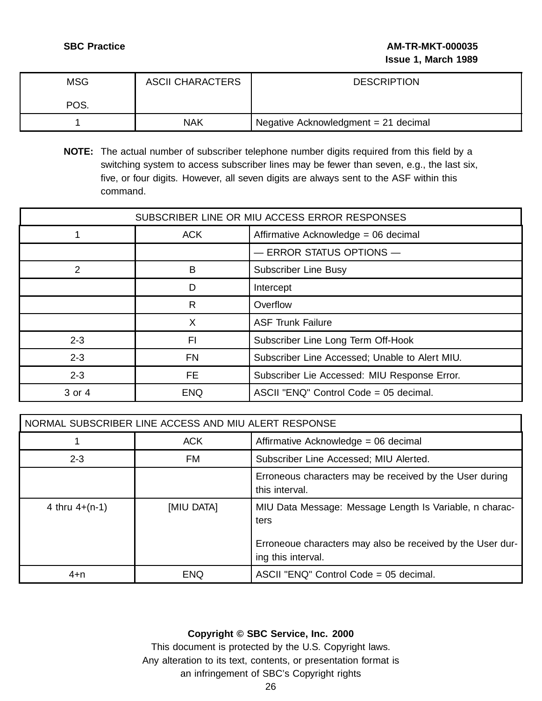| <b>MSG</b> | <b>ASCII CHARACTERS</b> | <b>DESCRIPTION</b>                     |
|------------|-------------------------|----------------------------------------|
| POS.       |                         |                                        |
|            | <b>NAK</b>              | Negative Acknowledgment = $21$ decimal |

**NOTE:** The actual number of subscriber telephone number digits required from this field by a switching system to access subscriber lines may be fewer than seven, e.g., the last six, five, or four digits. However, all seven digits are always sent to the ASF within this command.

| SUBSCRIBER LINE OR MIU ACCESS ERROR RESPONSES |            |                                                |
|-----------------------------------------------|------------|------------------------------------------------|
|                                               | <b>ACK</b> | Affirmative Acknowledge = 06 decimal           |
|                                               |            | - ERROR STATUS OPTIONS-                        |
| 2                                             | B          | <b>Subscriber Line Busy</b>                    |
|                                               | D          | Intercept                                      |
|                                               | R          | Overflow                                       |
|                                               | X          | <b>ASF Trunk Failure</b>                       |
| $2 - 3$                                       | FI         | Subscriber Line Long Term Off-Hook             |
| $2 - 3$                                       | <b>FN</b>  | Subscriber Line Accessed; Unable to Alert MIU. |
| $2 - 3$                                       | FE.        | Subscriber Lie Accessed: MIU Response Error.   |
| 3 or 4                                        | <b>ENQ</b> | ASCII "ENQ" Control Code = 05 decimal.         |

| NORMAL SUBSCRIBER LINE ACCESS AND MIU ALERT RESPONSE |            |                                                                                                                                                     |
|------------------------------------------------------|------------|-----------------------------------------------------------------------------------------------------------------------------------------------------|
|                                                      | <b>ACK</b> | Affirmative Acknowledge = 06 decimal                                                                                                                |
| $2 - 3$                                              | FM         | Subscriber Line Accessed; MIU Alerted.                                                                                                              |
|                                                      |            | Erroneous characters may be received by the User during<br>this interval.                                                                           |
| 4 thru $4+(n-1)$                                     | [MIU DATA] | MIU Data Message: Message Length Is Variable, n charac-<br>ters<br>Erroneoue characters may also be received by the User dur-<br>ing this interval. |
| $4+n$                                                | <b>ENQ</b> | ASCII "ENQ" Control Code = 05 decimal.                                                                                                              |

## **Copyright © SBC Service, Inc. 2000**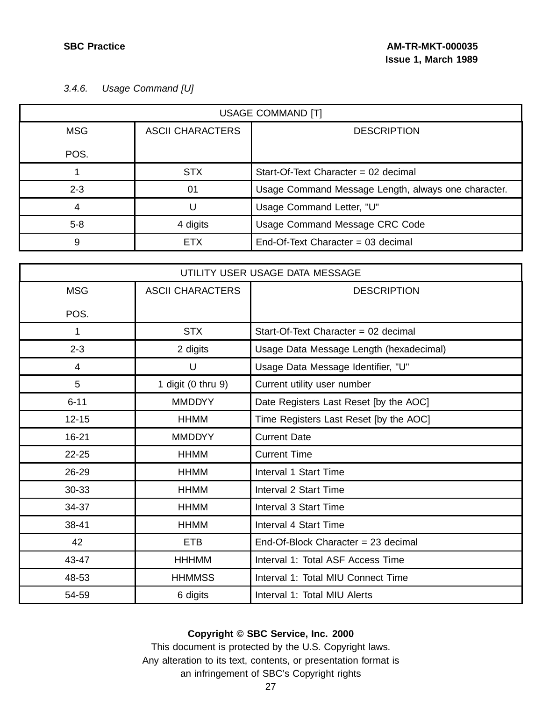## 3.4.6. Usage Command [U]

| USAGE COMMAND [T] |                         |                                                     |
|-------------------|-------------------------|-----------------------------------------------------|
| <b>MSG</b>        | <b>ASCII CHARACTERS</b> | <b>DESCRIPTION</b>                                  |
| POS.              |                         |                                                     |
|                   | <b>STX</b>              | Start-Of-Text Character = 02 decimal                |
| $2 - 3$           | 01                      | Usage Command Message Length, always one character. |
| 4                 |                         | Usage Command Letter, "U"                           |
| $5 - 8$           | 4 digits                | Usage Command Message CRC Code                      |
| 9                 | <b>ETX</b>              | End-Of-Text Character = $03$ decimal                |

| UTILITY USER USAGE DATA MESSAGE |                         |                                         |
|---------------------------------|-------------------------|-----------------------------------------|
| <b>MSG</b>                      | <b>ASCII CHARACTERS</b> | <b>DESCRIPTION</b>                      |
| POS.                            |                         |                                         |
| 1                               | <b>STX</b>              | Start-Of-Text Character = 02 decimal    |
| $2 - 3$                         | 2 digits                | Usage Data Message Length (hexadecimal) |
| 4                               | U                       | Usage Data Message Identifier, "U"      |
| 5                               | 1 digit (0 thru 9)      | Current utility user number             |
| $6 - 11$                        | <b>MMDDYY</b>           | Date Registers Last Reset [by the AOC]  |
| $12 - 15$                       | <b>HHMM</b>             | Time Registers Last Reset [by the AOC]  |
| $16 - 21$                       | <b>MMDDYY</b>           | <b>Current Date</b>                     |
| 22-25                           | <b>HHMM</b>             | <b>Current Time</b>                     |
| 26-29                           | <b>HHMM</b>             | Interval 1 Start Time                   |
| 30-33                           | <b>HHMM</b>             | Interval 2 Start Time                   |
| 34-37                           | <b>HHMM</b>             | Interval 3 Start Time                   |
| 38-41                           | <b>HHMM</b>             | Interval 4 Start Time                   |
| 42                              | <b>ETB</b>              | End-Of-Block Character = $23$ decimal   |
| 43-47                           | <b>HHHMM</b>            | Interval 1: Total ASF Access Time       |
| 48-53                           | <b>HHMMSS</b>           | Interval 1: Total MIU Connect Time      |
| 54-59                           | 6 digits                | Interval 1: Total MIU Alerts            |

## **Copyright © SBC Service, Inc. 2000**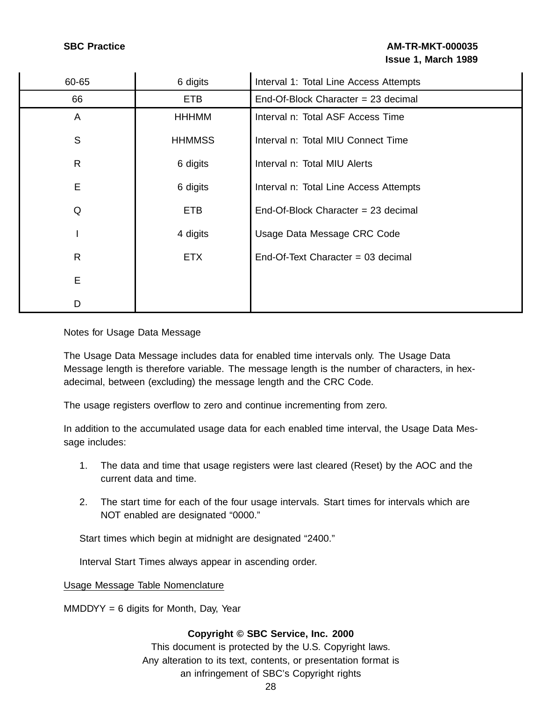## **SBC Practice AM-TR-MKT-000035 Issue 1, March 1989**

| 60-65        | 6 digits      | Interval 1: Total Line Access Attempts |
|--------------|---------------|----------------------------------------|
| 66           | <b>ETB</b>    | End-Of-Block Character = $23$ decimal  |
| A            | <b>HHHMM</b>  | Interval n: Total ASF Access Time      |
| S            | <b>HHMMSS</b> | Interval n: Total MIU Connect Time     |
| R.           | 6 digits      | Interval n: Total MIU Alerts           |
| E            | 6 digits      | Interval n: Total Line Access Attempts |
| Q            | <b>ETB</b>    | End-Of-Block Character = $23$ decimal  |
|              | 4 digits      | Usage Data Message CRC Code            |
| $\mathsf{R}$ | <b>ETX</b>    | End-Of-Text Character = $03$ decimal   |
| E            |               |                                        |
| D            |               |                                        |

Notes for Usage Data Message

The Usage Data Message includes data for enabled time intervals only. The Usage Data Message length is therefore variable. The message length is the number of characters, in hexadecimal, between (excluding) the message length and the CRC Code.

The usage registers overflow to zero and continue incrementing from zero.

In addition to the accumulated usage data for each enabled time interval, the Usage Data Message includes:

- 1. The data and time that usage registers were last cleared (Reset) by the AOC and the current data and time.
- 2. The start time for each of the four usage intervals. Start times for intervals which are NOT enabled are designated "0000."

Start times which begin at midnight are designated "2400."

Interval Start Times always appear in ascending order.

#### Usage Message Table Nomenclature

MMDDYY = 6 digits for Month, Day, Year

#### **Copyright © SBC Service, Inc. 2000**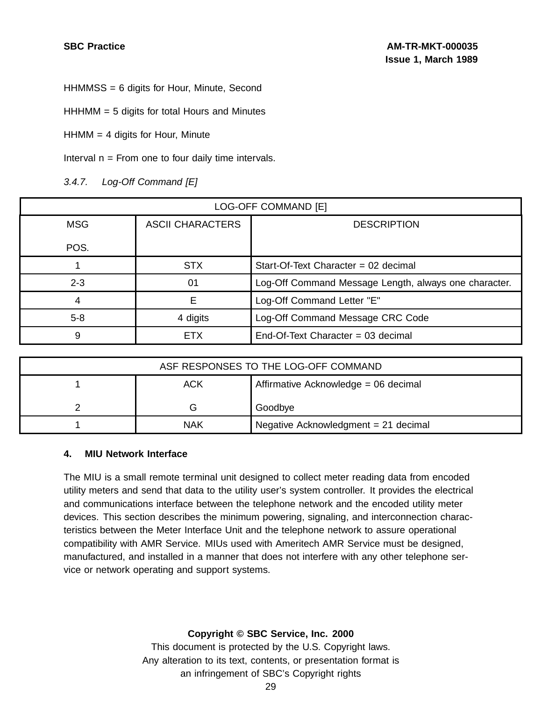- HHMMSS = 6 digits for Hour, Minute, Second
- HHHMM = 5 digits for total Hours and Minutes
- $HHMM = 4$  digits for Hour, Minute
- Interval  $n =$  From one to four daily time intervals.
- 3.4.7. Log-Off Command [E]

| LOG-OFF COMMAND [E] |                         |                                                       |
|---------------------|-------------------------|-------------------------------------------------------|
| <b>MSG</b>          | <b>ASCII CHARACTERS</b> | <b>DESCRIPTION</b>                                    |
| POS.                |                         |                                                       |
|                     | <b>STX</b>              | Start-Of-Text Character = 02 decimal                  |
| $2 - 3$             | 01                      | Log-Off Command Message Length, always one character. |
| 4                   |                         | Log-Off Command Letter "E"                            |
| $5 - 8$             | 4 digits                | Log-Off Command Message CRC Code                      |
| 9                   | <b>ETX</b>              | End-Of-Text Character = $03$ decimal                  |

| ASF RESPONSES TO THE LOG-OFF COMMAND |            |                                        |
|--------------------------------------|------------|----------------------------------------|
|                                      | <b>ACK</b> | Affirmative Acknowledge = 06 decimal   |
|                                      |            | Goodbye                                |
|                                      | <b>NAK</b> | Negative Acknowledgment = $21$ decimal |

#### **4. MIU Network Interface**

The MIU is a small remote terminal unit designed to collect meter reading data from encoded utility meters and send that data to the utility user's system controller. It provides the electrical and communications interface between the telephone network and the encoded utility meter devices. This section describes the minimum powering, signaling, and interconnection characteristics between the Meter Interface Unit and the telephone network to assure operational compatibility with AMR Service. MIUs used with Ameritech AMR Service must be designed, manufactured, and installed in a manner that does not interfere with any other telephone service or network operating and support systems.

## **Copyright © SBC Service, Inc. 2000**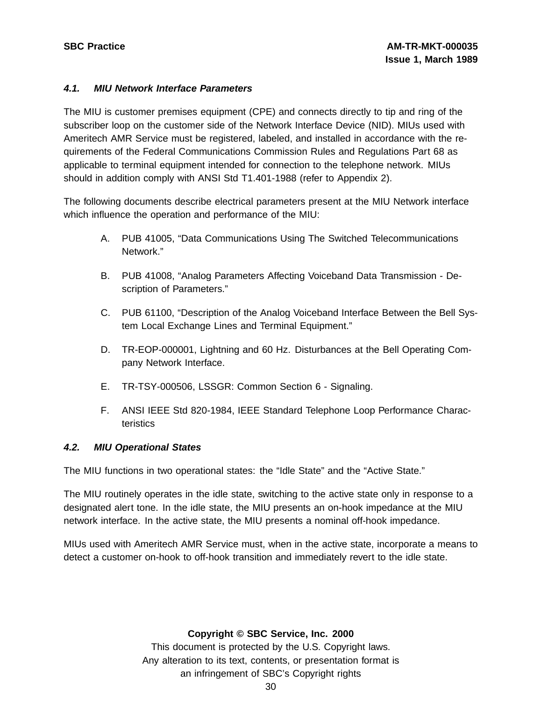## **4.1. MIU Network Interface Parameters**

The MIU is customer premises equipment (CPE) and connects directly to tip and ring of the subscriber loop on the customer side of the Network Interface Device (NID). MIUs used with Ameritech AMR Service must be registered, labeled, and installed in accordance with the requirements of the Federal Communications Commission Rules and Regulations Part 68 as applicable to terminal equipment intended for connection to the telephone network. MIUs should in addition comply with ANSI Std T1.401-1988 (refer to Appendix 2).

The following documents describe electrical parameters present at the MIU Network interface which influence the operation and performance of the MIU:

- A. PUB 41005, "Data Communications Using The Switched Telecommunications Network."
- B. PUB 41008, "Analog Parameters Affecting Voiceband Data Transmission Description of Parameters."
- C. PUB 61100, "Description of the Analog Voiceband Interface Between the Bell System Local Exchange Lines and Terminal Equipment."
- D. TR-EOP-000001, Lightning and 60 Hz. Disturbances at the Bell Operating Company Network Interface.
- E. TR-TSY-000506, LSSGR: Common Section 6 Signaling.
- F. ANSI IEEE Std 820-1984, IEEE Standard Telephone Loop Performance Characteristics

## **4.2. MIU Operational States**

The MIU functions in two operational states: the "Idle State" and the "Active State."

The MIU routinely operates in the idle state, switching to the active state only in response to a designated alert tone. In the idle state, the MIU presents an on-hook impedance at the MIU network interface. In the active state, the MIU presents a nominal off-hook impedance.

MIUs used with Ameritech AMR Service must, when in the active state, incorporate a means to detect a customer on-hook to off-hook transition and immediately revert to the idle state.

## **Copyright © SBC Service, Inc. 2000**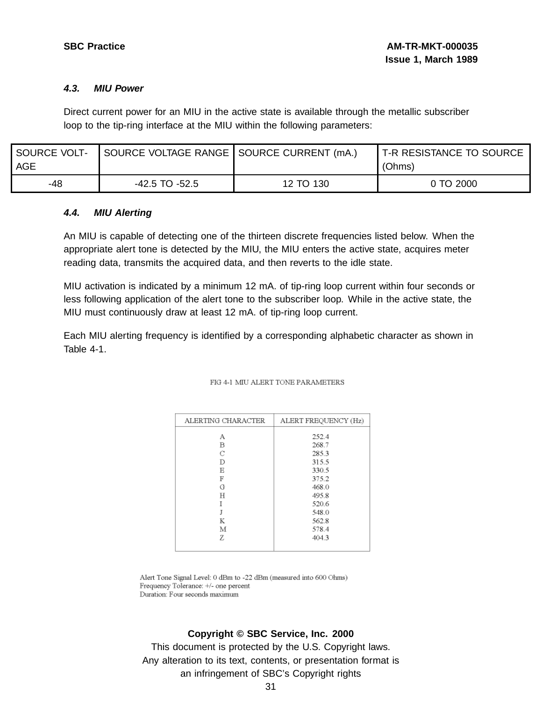#### **4.3. MIU Power**

Direct current power for an MIU in the active state is available through the metallic subscriber loop to the tip-ring interface at the MIU within the following parameters:

| <b>SOURCE VOLT-</b><br>AGE | SOURCE VOLTAGE RANGE   SOURCE CURRENT | ์ (mA.)   | <b>T-R RESISTANCE TO SOURCE</b><br>(Ohms) |
|----------------------------|---------------------------------------|-----------|-------------------------------------------|
| -48                        | $-42.5$ TO $-52.5$                    | 12 TO 130 | 0 TO 2000                                 |

### **4.4. MIU Alerting**

An MIU is capable of detecting one of the thirteen discrete frequencies listed below. When the appropriate alert tone is detected by the MIU, the MIU enters the active state, acquires meter reading data, transmits the acquired data, and then reverts to the idle state.

MIU activation is indicated by a minimum 12 mA. of tip-ring loop current within four seconds or less following application of the alert tone to the subscriber loop. While in the active state, the MIU must continuously draw at least 12 mA. of tip-ring loop current.

Each MIU alerting frequency is identified by a corresponding alphabetic character as shown in Table 4-1.

| ALERTING CHARACTER | ALERT FREQUENCY (Hz) |
|--------------------|----------------------|
| А                  | 252.4                |
| в                  | 268.7                |
| С                  | 285.3                |
| D                  | 315.5                |
| Е                  | 330.5                |
| F                  | 375.2                |
| G                  | 468.0                |
| H                  | 495.8                |
| T                  | 520.6                |
| J                  | 548.0                |
| K                  | 562.8                |
| М                  | 578.4                |
| Z                  | 404.3                |
|                    |                      |

FIG 4-1 MIU ALERT TONE PARAMETERS

Alert Tone Signal Level: 0 dBm to -22 dBm (measured into 600 Ohms) Frequency Tolerance: +/- one percent Duration: Four seconds maximum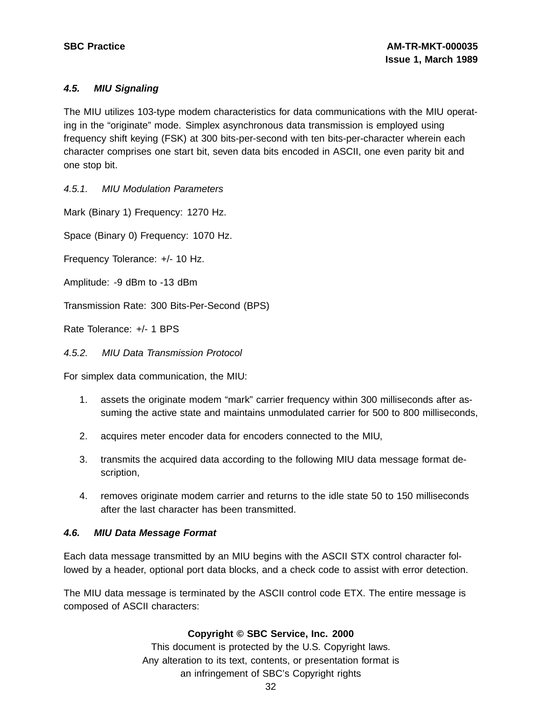## **4.5. MIU Signaling**

The MIU utilizes 103-type modem characteristics for data communications with the MIU operating in the "originate" mode. Simplex asynchronous data transmission is employed using frequency shift keying (FSK) at 300 bits-per-second with ten bits-per-character wherein each character comprises one start bit, seven data bits encoded in ASCII, one even parity bit and one stop bit.

4.5.1. MIU Modulation Parameters

Mark (Binary 1) Frequency: 1270 Hz.

Space (Binary 0) Frequency: 1070 Hz.

Frequency Tolerance: +/- 10 Hz.

Amplitude: -9 dBm to -13 dBm

Transmission Rate: 300 Bits-Per-Second (BPS)

Rate Tolerance: +/- 1 BPS

4.5.2. MIU Data Transmission Protocol

For simplex data communication, the MIU:

- 1. assets the originate modem "mark" carrier frequency within 300 milliseconds after assuming the active state and maintains unmodulated carrier for 500 to 800 milliseconds,
- 2. acquires meter encoder data for encoders connected to the MIU,
- 3. transmits the acquired data according to the following MIU data message format description,
- 4. removes originate modem carrier and returns to the idle state 50 to 150 milliseconds after the last character has been transmitted.

## **4.6. MIU Data Message Format**

Each data message transmitted by an MIU begins with the ASCII STX control character followed by a header, optional port data blocks, and a check code to assist with error detection.

The MIU data message is terminated by the ASCII control code ETX. The entire message is composed of ASCII characters:

## **Copyright © SBC Service, Inc. 2000**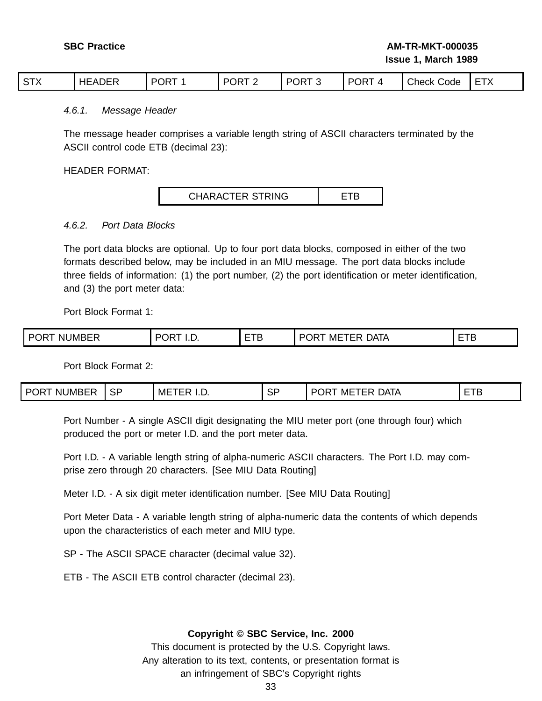**SBC Practice AM-TR-MKT-000035 Issue 1, March 1989**

| $\sim$ T<br>$-$<br>$- -$<br>---<br>---<br>Check<br>ാ $\epsilon$<br>DC<br>ാറ<br>-<br>. PC<br>ж<br>Code<br>⊶ ⊨<br>⊢∆∣<br>אנ<br>`⊢ ⊢<br>אנ<br>.JR.<br>--<br>-<br>൧<br>^יט<br><b>ADLIY</b><br>$\cdot$<br>-<br>_ | $\sqrt{ }$ |
|-------------------------------------------------------------------------------------------------------------------------------------------------------------------------------------------------------------|------------|
|-------------------------------------------------------------------------------------------------------------------------------------------------------------------------------------------------------------|------------|

#### 4.6.1. Message Header

The message header comprises a variable length string of ASCII characters terminated by the ASCII control code ETB (decimal 23):

HEADER FORMAT:

| <b>CHARACTER STRING</b> |  |
|-------------------------|--|
|                         |  |

## 4.6.2. Port Data Blocks

The port data blocks are optional. Up to four port data blocks, composed in either of the two formats described below, may be included in an MIU message. The port data blocks include three fields of information: (1) the port number, (2) the port identification or meter identification, and (3) the port meter data:

Port Block Format 1:

| .<br>DC.<br>ЭR<br>JMBER<br>״<br>Nι<br>.JF<br>. .<br>. . | ---<br>_<br>. | $\sim$<br>. .<br>JAIA<br>MF<br>ىر<br>)F<br>--<br>,,, | ---<br>-<br>_<br>-<br>_ |
|---------------------------------------------------------|---------------|------------------------------------------------------|-------------------------|
|---------------------------------------------------------|---------------|------------------------------------------------------|-------------------------|

Port Block Format 2:

| <b>QD</b><br>n-<br>__<br>---<br>ATAר<br>ı PC<br>ΝI<br>or<br>Ж.<br><b>JMBF</b><br>ME<br>ж<br>MF<br>--<br>--<br>__<br>১৮<br>יט<br>,,,<br><br>. .<br>∽ |
|-----------------------------------------------------------------------------------------------------------------------------------------------------|
|-----------------------------------------------------------------------------------------------------------------------------------------------------|

Port Number - A single ASCII digit designating the MIU meter port (one through four) which produced the port or meter I.D. and the port meter data.

Port I.D. - A variable length string of alpha-numeric ASCII characters. The Port I.D. may comprise zero through 20 characters. [See MIU Data Routing]

Meter I.D. - A six digit meter identification number. [See MIU Data Routing]

Port Meter Data - A variable length string of alpha-numeric data the contents of which depends upon the characteristics of each meter and MIU type.

SP - The ASCII SPACE character (decimal value 32).

ETB - The ASCII ETB control character (decimal 23).

#### **Copyright © SBC Service, Inc. 2000**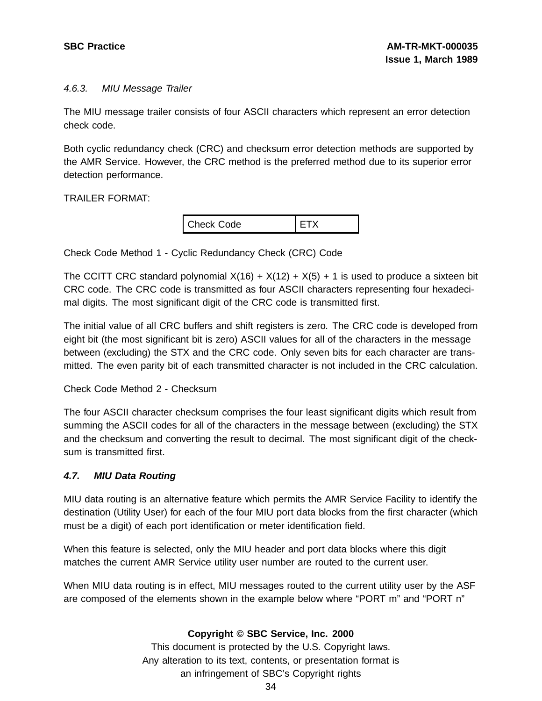## 4.6.3. MIU Message Trailer

The MIU message trailer consists of four ASCII characters which represent an error detection check code.

Both cyclic redundancy check (CRC) and checksum error detection methods are supported by the AMR Service. However, the CRC method is the preferred method due to its superior error detection performance.

TRAILER FORMAT:

| Check Code |  |
|------------|--|
|            |  |

Check Code Method 1 - Cyclic Redundancy Check (CRC) Code

The CCITT CRC standard polynomial  $X(16) + X(12) + X(5) + 1$  is used to produce a sixteen bit CRC code. The CRC code is transmitted as four ASCII characters representing four hexadecimal digits. The most significant digit of the CRC code is transmitted first.

The initial value of all CRC buffers and shift registers is zero. The CRC code is developed from eight bit (the most significant bit is zero) ASCII values for all of the characters in the message between (excluding) the STX and the CRC code. Only seven bits for each character are transmitted. The even parity bit of each transmitted character is not included in the CRC calculation.

## Check Code Method 2 - Checksum

The four ASCII character checksum comprises the four least significant digits which result from summing the ASCII codes for all of the characters in the message between (excluding) the STX and the checksum and converting the result to decimal. The most significant digit of the checksum is transmitted first.

## **4.7. MIU Data Routing**

MIU data routing is an alternative feature which permits the AMR Service Facility to identify the destination (Utility User) for each of the four MIU port data blocks from the first character (which must be a digit) of each port identification or meter identification field.

When this feature is selected, only the MIU header and port data blocks where this digit matches the current AMR Service utility user number are routed to the current user.

When MIU data routing is in effect, MIU messages routed to the current utility user by the ASF are composed of the elements shown in the example below where "PORT m" and "PORT n"

## **Copyright © SBC Service, Inc. 2000**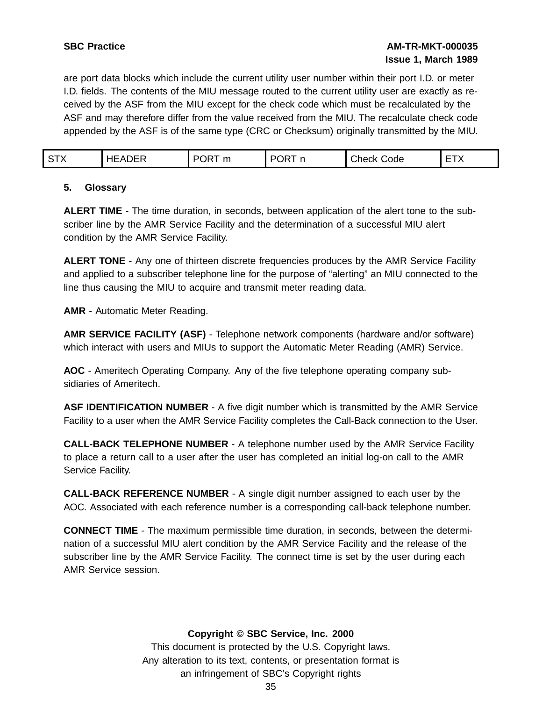## **SBC Practice AM-TR-MKT-000035 Issue 1, March 1989**

are port data blocks which include the current utility user number within their port I.D. or meter I.D. fields. The contents of the MIU message routed to the current utility user are exactly as received by the ASF from the MIU except for the check code which must be recalculated by the ASF and may therefore differ from the value received from the MIU. The recalculate check code appended by the ASF is of the same type (CRC or Checksum) originally transmitted by the MIU.

| ----<br>---<br>--<br>$\sim$ $\sim$<br>$\sim$<br>∟<br>ப<br>code<br>יי<br>m<br>≻ו<br>…∩e∩<br>- 11≖<br>. .<br>-<br>$\mathbf{a}$<br>_<br>.<br>ັ<br>- |
|--------------------------------------------------------------------------------------------------------------------------------------------------|
|--------------------------------------------------------------------------------------------------------------------------------------------------|

### **5. Glossary**

**ALERT TIME** - The time duration, in seconds, between application of the alert tone to the subscriber line by the AMR Service Facility and the determination of a successful MIU alert condition by the AMR Service Facility.

**ALERT TONE** - Any one of thirteen discrete frequencies produces by the AMR Service Facility and applied to a subscriber telephone line for the purpose of "alerting" an MIU connected to the line thus causing the MIU to acquire and transmit meter reading data.

**AMR** - Automatic Meter Reading.

**AMR SERVICE FACILITY (ASF)** - Telephone network components (hardware and/or software) which interact with users and MIUs to support the Automatic Meter Reading (AMR) Service.

**AOC** - Ameritech Operating Company. Any of the five telephone operating company subsidiaries of Ameritech.

**ASF IDENTIFICATION NUMBER** - A five digit number which is transmitted by the AMR Service Facility to a user when the AMR Service Facility completes the Call-Back connection to the User.

**CALL-BACK TELEPHONE NUMBER** - A telephone number used by the AMR Service Facility to place a return call to a user after the user has completed an initial log-on call to the AMR Service Facility.

**CALL-BACK REFERENCE NUMBER** - A single digit number assigned to each user by the AOC. Associated with each reference number is a corresponding call-back telephone number.

**CONNECT TIME** - The maximum permissible time duration, in seconds, between the determination of a successful MIU alert condition by the AMR Service Facility and the release of the subscriber line by the AMR Service Facility. The connect time is set by the user during each AMR Service session.

## **Copyright © SBC Service, Inc. 2000**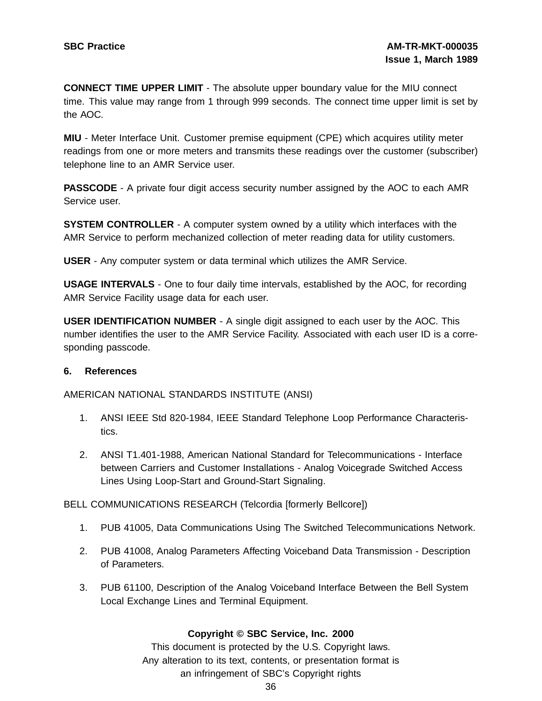**CONNECT TIME UPPER LIMIT** - The absolute upper boundary value for the MIU connect time. This value may range from 1 through 999 seconds. The connect time upper limit is set by the AOC.

**MIU** - Meter Interface Unit. Customer premise equipment (CPE) which acquires utility meter readings from one or more meters and transmits these readings over the customer (subscriber) telephone line to an AMR Service user.

**PASSCODE** - A private four digit access security number assigned by the AOC to each AMR Service user.

**SYSTEM CONTROLLER** - A computer system owned by a utility which interfaces with the AMR Service to perform mechanized collection of meter reading data for utility customers.

**USER** - Any computer system or data terminal which utilizes the AMR Service.

**USAGE INTERVALS** - One to four daily time intervals, established by the AOC, for recording AMR Service Facility usage data for each user.

**USER IDENTIFICATION NUMBER** - A single digit assigned to each user by the AOC. This number identifies the user to the AMR Service Facility. Associated with each user ID is a corresponding passcode.

## **6. References**

AMERICAN NATIONAL STANDARDS INSTITUTE (ANSI)

- 1. ANSI IEEE Std 820-1984, IEEE Standard Telephone Loop Performance Characteristics.
- 2. ANSI T1.401-1988, American National Standard for Telecommunications Interface between Carriers and Customer Installations - Analog Voicegrade Switched Access Lines Using Loop-Start and Ground-Start Signaling.

BELL COMMUNICATIONS RESEARCH (Telcordia [formerly Bellcore])

- 1. PUB 41005, Data Communications Using The Switched Telecommunications Network.
- 2. PUB 41008, Analog Parameters Affecting Voiceband Data Transmission Description of Parameters.
- 3. PUB 61100, Description of the Analog Voiceband Interface Between the Bell System Local Exchange Lines and Terminal Equipment.

## **Copyright © SBC Service, Inc. 2000**